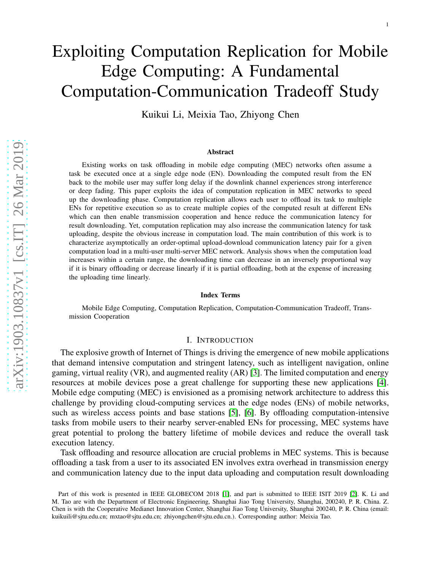# Exploiting Computation Replication for Mobile Edge Computing: A Fundamental Computation-Communication Tradeoff Study

Kuikui Li, Meixia Tao, Zhiyong Chen

#### Abstract

Existing works on task offloading in mobile edge computing (MEC) networks often assume a task be executed once at a single edge node (EN). Downloading the computed result from the EN back to the mobile user may suffer long delay if the downlink channel experiences strong interference or deep fading. This paper exploits the idea of computation replication in MEC networks to speed up the downloading phase. Computation replication allows each user to offload its task to multiple ENs for repetitive execution so as to create multiple copies of the computed result at different ENs which can then enable transmission cooperation and hence reduce the communication latency for result downloading. Yet, computation replication may also increase the communication latency for task uploading, despite the obvious increase in computation load. The main contribution of this work is to characterize asymptotically an order-optimal upload-download communication latency pair for a given computation load in a multi-user multi-server MEC network. Analysis shows when the computation load increases within a certain range, the downloading time can decrease in an inversely proportional way if it is binary offloading or decrease linearly if it is partial offloading, both at the expense of increasing the uploading time linearly.

#### Index Terms

Mobile Edge Computing, Computation Replication, Computation-Communication Tradeoff, Transmission Cooperation

#### I. INTRODUCTION

The explosive growth of Internet of Things is driving the emergence of new mobile applications that demand intensive computation and stringent latency, such as intelligent navigation, online gaming, virtual reality (VR), and augmented reality (AR) [\[3\]](#page-21-0). The limited computation and energy resources at mobile devices pose a great challenge for supporting these new applications [\[4\]](#page-21-1). Mobile edge computing (MEC) is envisioned as a promising network architecture to address this challenge by providing cloud-computing services at the edge nodes (ENs) of mobile networks, such as wireless access points and base stations [\[5\]](#page-21-2), [\[6\]](#page-21-3). By offloading computation-intensive tasks from mobile users to their nearby server-enabled ENs for processing, MEC systems have great potential to prolong the battery lifetime of mobile devices and reduce the overall task execution latency.

Task offloading and resource allocation are crucial problems in MEC systems. This is because offloading a task from a user to its associated EN involves extra overhead in transmission energy and communication latency due to the input data uploading and computation result downloading

Part of this work is presented in IEEE GLOBECOM 2018 [\[1\]](#page-21-4), and part is submitted to IEEE ISIT 2019 [\[2\]](#page-21-5). K. Li and M. Tao are with the Department of Electronic Engineering, Shanghai Jiao Tong University, Shanghai, 200240, P. R. China. Z. Chen is with the Cooperative Medianet Innovation Center, Shanghai Jiao Tong University, Shanghai 200240, P. R. China (email: kuikuili@sjtu.edu.cn; mxtao@sjtu.edu.cn; zhiyongchen@sjtu.edu.cn.). Corresponding author: Meixia Tao.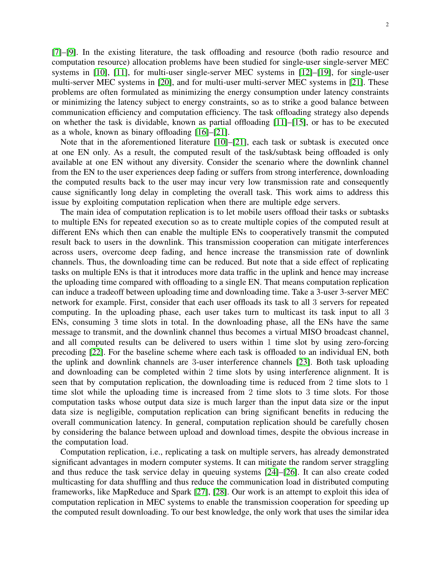[\[7\]](#page-21-6)–[\[9\]](#page-21-7). In the existing literature, the task offloading and resource (both radio resource and computation resource) allocation problems have been studied for single-user single-server MEC systems in [\[10\]](#page-21-8), [\[11\]](#page-21-9), for multi-user single-server MEC systems in [\[12\]](#page-21-10)–[\[19\]](#page-21-11), for single-user multi-server MEC systems in [\[20\]](#page-21-12), and for multi-user multi-server MEC systems in [\[21\]](#page-21-13). These problems are often formulated as minimizing the energy consumption under latency constraints or minimizing the latency subject to energy constraints, so as to strike a good balance between communication efficiency and computation efficiency. The task offloading strategy also depends on whether the task is dividable, known as partial offloading [\[11\]](#page-21-9)–[\[15\]](#page-21-14), or has to be executed as a whole, known as binary offloading [\[16\]](#page-21-15)–[\[21\]](#page-21-13).

Note that in the aforementioned literature [\[10\]](#page-21-8)–[\[21\]](#page-21-13), each task or subtask is executed once at one EN only. As a result, the computed result of the task/subtask being offloaded is only available at one EN without any diversity. Consider the scenario where the downlink channel from the EN to the user experiences deep fading or suffers from strong interference, downloading the computed results back to the user may incur very low transmission rate and consequently cause significantly long delay in completing the overall task. This work aims to address this issue by exploiting computation replication when there are multiple edge servers.

The main idea of computation replication is to let mobile users offload their tasks or subtasks to multiple ENs for repeated execution so as to create multiple copies of the computed result at different ENs which then can enable the multiple ENs to cooperatively transmit the computed result back to users in the downlink. This transmission cooperation can mitigate interferences across users, overcome deep fading, and hence increase the transmission rate of downlink channels. Thus, the downloading time can be reduced. But note that a side effect of replicating tasks on multiple ENs is that it introduces more data traffic in the uplink and hence may increase the uploading time compared with offloading to a single EN. That means computation replication can induce a tradeoff between uploading time and downloading time. Take a 3-user 3-server MEC network for example. First, consider that each user offloads its task to all 3 servers for repeated computing. In the uploading phase, each user takes turn to multicast its task input to all 3 ENs, consuming 3 time slots in total. In the downloading phase, all the ENs have the same message to transmit, and the downlink channel thus becomes a virtual MISO broadcast channel, and all computed results can be delivered to users within 1 time slot by using zero-forcing precoding [\[22\]](#page-21-16). For the baseline scheme where each task is offloaded to an individual EN, both the uplink and downlink channels are 3-user interference channels [\[23\]](#page-21-17). Both task uploading and downloading can be completed within 2 time slots by using interference alignment. It is seen that by computation replication, the downloading time is reduced from 2 time slots to 1 time slot while the uploading time is increased from 2 time slots to 3 time slots. For those computation tasks whose output data size is much larger than the input data size or the input data size is negligible, computation replication can bring significant benefits in reducing the overall communication latency. In general, computation replication should be carefully chosen by considering the balance between upload and download times, despite the obvious increase in the computation load.

Computation replication, i.e., replicating a task on multiple servers, has already demonstrated significant advantages in modern computer systems. It can mitigate the random server straggling and thus reduce the task service delay in queuing systems [\[24\]](#page-21-18)–[\[26\]](#page-21-19). It can also create coded multicasting for data shuffling and thus reduce the communication load in distributed computing frameworks, like MapReduce and Spark [\[27\]](#page-21-20), [\[28\]](#page-22-0). Our work is an attempt to exploit this idea of computation replication in MEC systems to enable the transmission cooperation for speeding up the computed result downloading. To our best knowledge, the only work that uses the similar idea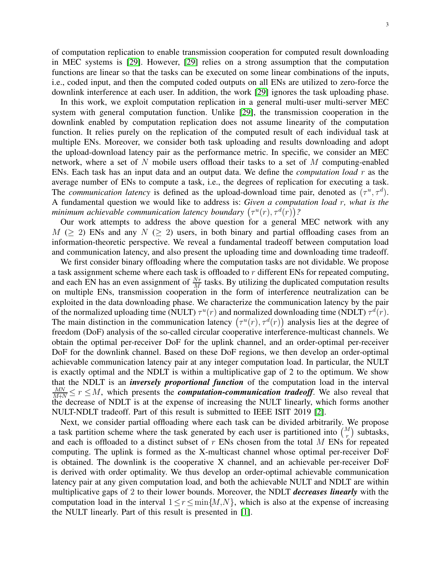of computation replication to enable transmission cooperation for computed result downloading in MEC systems is [\[29\]](#page-22-1). However, [\[29\]](#page-22-1) relies on a strong assumption that the computation functions are linear so that the tasks can be executed on some linear combinations of the inputs, i.e., coded input, and then the computed coded outputs on all ENs are utilized to zero-force the downlink interference at each user. In addition, the work [\[29\]](#page-22-1) ignores the task uploading phase.

In this work, we exploit computation replication in a general multi-user multi-server MEC system with general computation function. Unlike [\[29\]](#page-22-1), the transmission cooperation in the downlink enabled by computation replication does not assume linearity of the computation function. It relies purely on the replication of the computed result of each individual task at multiple ENs. Moreover, we consider both task uploading and results downloading and adopt the upload-download latency pair as the performance metric. In specific, we consider an MEC network, where a set of  $N$  mobile users offload their tasks to a set of  $M$  computing-enabled ENs. Each task has an input data and an output data. We define the *computation load* r as the average number of ENs to compute a task, i.e., the degrees of replication for executing a task. The *communication latency* is defined as the upload-download time pair, denoted as  $(\tau^u, \tau^d)$ . A fundamental question we would like to address is: *Given a computation load* r*, what is the minimum achievable communication latency boundary*  $(\tau^u(r), \tau^d(r))$ ?

Our work attempts to address the above question for a general MEC network with any  $M \ (\geq 2)$  ENs and any  $N \ (\geq 2)$  users, in both binary and partial offloading cases from an information-theoretic perspective. We reveal a fundamental tradeoff between computation load and communication latency, and also present the uploading time and downloading time tradeoff.

We first consider binary offloading where the computation tasks are not dividable. We propose a task assignment scheme where each task is offloaded to  $r$  different ENs for repeated computing, and each EN has an even assignment of  $\frac{Nr}{M}$  tasks. By utilizing the duplicated computation results on multiple ENs, transmission cooperation in the form of interference neutralization can be exploited in the data downloading phase. We characterize the communication latency by the pair of the normalized uploading time (NULT)  $\tau^u(r)$  and normalized downloading time (NDLT)  $\tau^d(r)$ . The main distinction in the communication latency  $(\tau^u(r), \tau^d(r))$  analysis lies at the degree of freedom (DoF) analysis of the so-called circular cooperative interference-multicast channels. We obtain the optimal per-receiver DoF for the uplink channel, and an order-optimal per-receiver DoF for the downlink channel. Based on these DoF regions, we then develop an order-optimal achievable communication latency pair at any integer computation load. In particular, the NULT is exactly optimal and the NDLT is within a multiplicative gap of 2 to the optimum. We show that the NDLT is an *inversely proportional function* of the computation load in the interval  $\frac{MN}{M+N} \le r \le M$ , which presents the *computation-communication tradeoff*. We also reveal that the decrease of NDLT is at the expense of increasing the NULT linearly, which forms another NULT-NDLT tradeoff. Part of this result is submitted to IEEE ISIT 2019 [\[2\]](#page-21-5).

Next, we consider partial offloading where each task can be divided arbitrarily. We propose a task partition scheme where the task generated by each user is partitioned into  $\binom{M}{r}$  subtasks, and each is offloaded to a distinct subset of r ENs chosen from the total M ENs for repeated computing. The uplink is formed as the X-multicast channel whose optimal per-receiver DoF is obtained. The downlink is the cooperative X channel, and an achievable per-receiver DoF is derived with order optimality. We thus develop an order-optimal achievable communication latency pair at any given computation load, and both the achievable NULT and NDLT are within multiplicative gaps of 2 to their lower bounds. Moreover, the NDLT *decreases linearly* with the computation load in the interval  $1 \leq r \leq \min\{M,N\}$ , which is also at the expense of increasing the NULT linearly. Part of this result is presented in [\[1\]](#page-21-4).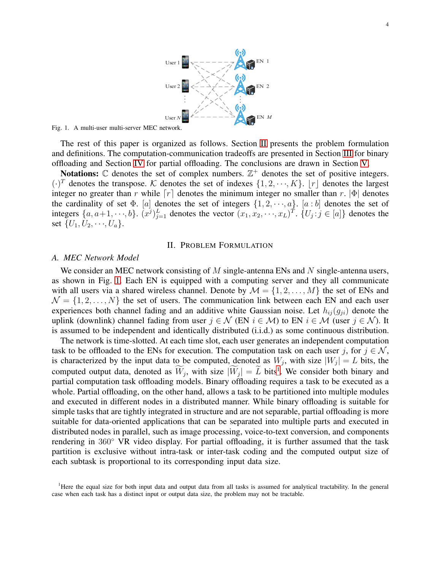

<span id="page-3-1"></span>Fig. 1. A multi-user multi-server MEC network.

The rest of this paper is organized as follows. Section [II](#page-3-0) presents the problem formulation and definitions. The computation-communication tradeoffs are presented in Section [III](#page-5-0) for binary offloading and Section [IV](#page-12-0) for partial offloading. The conclusions are drawn in Section [V.](#page-17-0)

Notations:  $\mathbb C$  denotes the set of complex numbers.  $\mathbb Z^+$  denotes the set of positive integers.  $(\cdot)^T$  denotes the transpose. K denotes the set of indexes  $\{1, 2, \dots, K\}$ .  $[r]$  denotes the largest integer no greater than r while  $[r]$  denotes the minimum integer no smaller than r.  $|\Phi|$  denotes the cardinality of set  $\Phi$ . [a] denotes the set of integers  $\{1, 2, \dots, a\}$ . [a : b] denotes the set of integers  $\{a, a+1, \dots, b\}$ .  $(x^j)_{j=1}^L$  denotes the vector  $(x_1, x_2, \dots, x_L)^T$ .  $\{U_j : j \in [a]\}$  denotes the set  $\{U_1, U_2, \dots, U_a\}.$ 

## II. PROBLEM FORMULATION

# <span id="page-3-0"></span>*A. MEC Network Model*

We consider an MEC network consisting of  $M$  single-antenna ENs and  $N$  single-antenna users, as shown in Fig. [1.](#page-3-1) Each EN is equipped with a computing server and they all communicate with all users via a shared wireless channel. Denote by  $\mathcal{M} = \{1, 2, ..., M\}$  the set of ENs and  $\mathcal{N} = \{1, 2, \ldots, N\}$  the set of users. The communication link between each EN and each user experiences both channel fading and an additive white Gaussian noise. Let  $h_{ij}(g_{ji})$  denote the uplink (downlink) channel fading from user  $j \in \mathcal{N}$  (EN  $i \in \mathcal{M}$ ) to EN  $i \in \mathcal{M}$  (user  $j \in \mathcal{N}$ ). It is assumed to be independent and identically distributed (i.i.d.) as some continuous distribution.

The network is time-slotted. At each time slot, each user generates an independent computation task to be offloaded to the ENs for execution. The computation task on each user j, for  $j \in \mathcal{N}$ , is characterized by the input data to be computed, denoted as  $W_j$ , with size  $|W_j| = L$  bits, the computed output data, denoted as  $W_j$ , with size  $|\overline{W}_j| = L$  bits<sup>1</sup>. We consider both binary and partial computation task offloading models. Binary offloading requires a task to be executed as a whole. Partial offloading, on the other hand, allows a task to be partitioned into multiple modules and executed in different nodes in a distributed manner. While binary offloading is suitable for simple tasks that are tightly integrated in structure and are not separable, partial offloading is more suitable for data-oriented applications that can be separated into multiple parts and executed in distributed nodes in parallel, such as image processing, voice-to-text conversion, and components rendering in 360◦ VR video display. For partial offloading, it is further assumed that the task partition is exclusive without intra-task or inter-task coding and the computed output size of each subtask is proportional to its corresponding input data size.

<sup>&</sup>lt;sup>1</sup>Here the equal size for both input data and output data from all tasks is assumed for analytical tractability. In the general case when each task has a distinct input or output data size, the problem may not be tractable.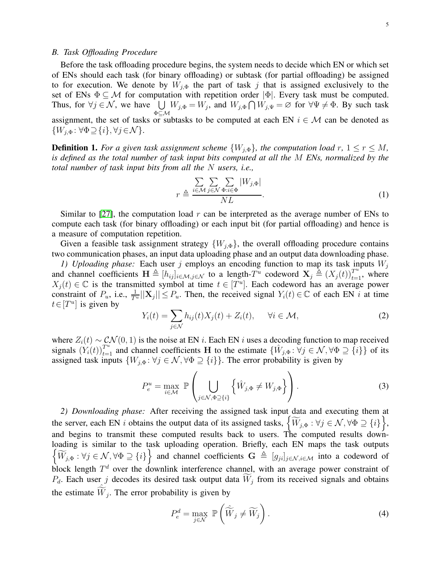## *B. Task Offloading Procedure*

Before the task offloading procedure begins, the system needs to decide which EN or which set of ENs should each task (for binary offloading) or subtask (for partial offloading) be assigned to for execution. We denote by  $W_{j,\Phi}$  the part of task j that is assigned exclusively to the set of ENs  $\Phi \subseteq M$  for computation with repetition order  $|\Phi|$ . Every task must be computed. Thus, for  $\forall j \in \mathcal{N}$ , we have  $\bigcup W_{j,\Phi} = W_j$ , and  $W_{j,\Phi} \cap W_{j,\Psi} = \emptyset$  for  $\forall \Psi \neq \Phi$ . By such task assignment, the set of tasks or subtasks to be computed at each EN  $i \in \mathcal{M}$  can be denoted as  $\{W_{j,\Phi} : \forall \Phi \supseteq \{i\}, \forall j \in \mathcal{N}\}.$ 

<span id="page-4-0"></span>**Definition 1.** *For a given task assignment scheme*  $\{W_{i,\Phi}\}\$ *, the computation load* r,  $1 \le r \le M$ *, is defined as the total number of task input bits computed at all the* M *ENs, normalized by the total number of task input bits from all the* N *users, i.e.,*

$$
r \triangleq \frac{\sum\limits_{i \in \mathcal{M}} \sum\limits_{j \in \mathcal{N}} \sum\limits_{\Phi:i \in \Phi} |W_{j,\Phi}|}{NL}.
$$
 (1)

Similar to [\[27\]](#page-21-20), the computation load  $r$  can be interpreted as the average number of ENs to compute each task (for binary offloading) or each input bit (for partial offloading) and hence is a measure of computation repetition.

Given a feasible task assignment strategy  $\{W_{j,\Phi}\}\$ , the overall offloading procedure contains two communication phases, an input data uploading phase and an output data downloading phase.

*1) Uploading phase:* Each user j employs an encoding function to map its task inputs  $W_j$ and channel coefficients  $\mathbf{H} \triangleq [h_{ij}]_{i \in \mathcal{M}, j \in \mathcal{N}}$  to a length- $T^u$  codeword  $\mathbf{X}_j \triangleq (X_j(t))_{t=1}^{T^u}$ , where  $X_j(t) \in \mathbb{C}$  is the transmitted symbol at time  $t \in [T^u]$ . Each codeword has an average power constraint of  $P_u$ , i.e.,  $\frac{1}{T^u}||\mathbf{X}_j|| \leq P_u$ . Then, the received signal  $Y_i(t) \in \mathbb{C}$  of each EN i at time  $t \in [T^u]$  is given by

$$
Y_i(t) = \sum_{j \in \mathcal{N}} h_{ij}(t) X_j(t) + Z_i(t), \quad \forall i \in \mathcal{M},
$$
\n(2)

where  $Z_i(t) \sim \mathcal{CN}(0, 1)$  is the noise at EN i. Each EN i uses a decoding function to map received signals  $(Y_i(t))_{t=1}^{T_u}$  and channel coefficients H to the estimate  $\{\hat{W}_{j,\Phi} : \forall j \in \mathcal{N}, \forall \Phi \supseteq {\{i\}}\}$  of its assigned task inputs  $\{W_{j,\Phi} : \forall j \in \mathcal{N}, \forall \Phi \supseteq \{i\}\}\.$  The error probability is given by

$$
P_e^u = \max_{i \in \mathcal{M}} \ \mathbb{P}\left(\bigcup_{j \in \mathcal{N}, \Phi \supseteq \{i\}} \left\{\hat{W}_{j, \Phi} \neq W_{j, \Phi}\right\}\right). \tag{3}
$$

*2) Downloading phase:* After receiving the assigned task input data and executing them at the server, each EN i obtains the output data of its assigned tasks,  $\left\{ \widetilde{W}_{j,\Phi} : \forall j \in \mathcal{N}, \forall \Phi \supseteq \{i\} \right\}$ , and begins to transmit these computed results back to users. The computed results downloading is similar to the task uploading operation. Briefly, each EN maps the task outputs  $\widetilde{W}_{j,\Phi}$ :  $\forall j \in \mathcal{N}, \forall \Phi \supseteq \{i\}$  and channel coefficients  $\mathbf{G} \triangleq [g_{ji}]_{j \in \mathcal{N}, i \in \mathcal{M}}$  into a codeword of block length  $T<sup>d</sup>$  over the downlink interference channel, with an average power constraint of  $P_d$ . Each user j decodes its desired task output data  $W_j$  from its received signals and obtains the estimate  $\hat{\widetilde{W}}_j$ . The error probability is given by

$$
P_e^d = \max_{j \in \mathcal{N}} \ \mathbb{P}\left(\widehat{\widetilde{W}}_j \neq \widetilde{W}_j\right). \tag{4}
$$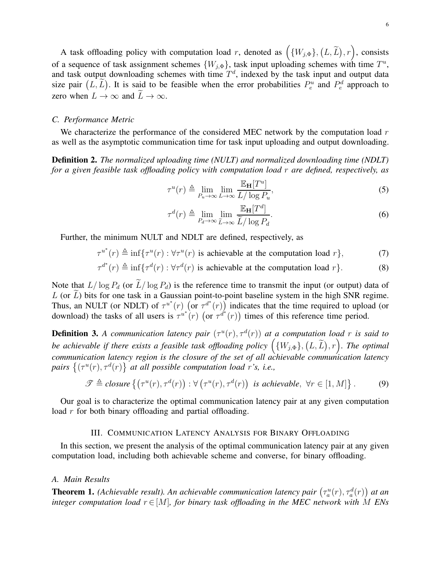A task offloading policy with computation load r, denoted as  $( \{W_{j,\Phi}\}, (L,\widetilde{L}), r \} )$ , consists of a sequence of task assignment schemes  $\{W_{j,\Phi}\}\$ , task input uploading schemes with time  $T^u$ , and task output downloading schemes with time  $T<sup>d</sup>$ , indexed by the task input and output data size pair  $(L, \tilde{L})$ . It is said to be feasible when the error probabilities  $P_e^u$  and  $P_e^d$  approach to zero when  $L \to \infty$  and  $\widetilde{L} \to \infty$ .

# *C. Performance Metric*

We characterize the performance of the considered MEC network by the computation load  $r$ as well as the asymptotic communication time for task input uploading and output downloading.

<span id="page-5-2"></span>Definition 2. *The normalized uploading time (NULT) and normalized downloading time (NDLT) for a given feasible task offloading policy with computation load* r *are defined, respectively, as*

$$
\tau^{u}(r) \triangleq \lim_{P_{u} \to \infty} \lim_{L \to \infty} \frac{\mathbb{E}_{\mathbf{H}}[T^{u}]}{L/\log P_{u}},
$$
\n(5)

$$
\tau^{d}(r) \triangleq \lim_{P_d \to \infty} \lim_{\widetilde{L} \to \infty} \frac{\mathbb{E}_{\mathbf{H}}[T^d]}{\widetilde{L}/\log P_d}.
$$
\n(6)

Further, the minimum NULT and NDLT are defined, respectively, as

 $\tau^{u^*}(r) \triangleq \inf \{ \tau^u(r) : \forall \tau^u(r) \text{ is achievable at the computation load } r \},$  (7)

$$
\tau^{d^*}(r) \triangleq \inf \{ \tau^d(r) : \forall \tau^d(r) \text{ is achievable at the computation load } r \}. \tag{8}
$$

Note that  $L/\log P_d$  (or  $\widetilde{L}/\log P_d$ ) is the reference time to transmit the input (or output) data of  $L$  (or  $\tilde{L}$ ) bits for one task in a Gaussian point-to-point baseline system in the high SNR regime. Thus, an NULT (or NDLT) of  $\tau^{u^*}(r)$  (or  $\tau^{d^*}(r)$ ) indicates that the time required to upload (or download) the tasks of all users is  $\tau^{u^*}(r)$  (or  $\tau^{d^*}(r)$ ) times of this reference time period.

**Definition 3.** A communication latency pair  $(\tau^u(r), \tau^d(r))$  at a computation load r is said to *be achievable if there exists a feasible task offloading policy*  $({W_{j,\Phi}}), (L, \tilde{L}), r)$ . The optimal *communication latency region is the closure of the set of all achievable communication latency* pairs  $\{(\tau^u(r), \tau^d(r)\}\)$  at all possible computation load r's, i.e.,

$$
\mathscr{T} \triangleq closure\left\{ \left( \tau^u(r), \tau^d(r) \right) : \forall \left( \tau^u(r), \tau^d(r) \right) \text{ is achievable, } \forall r \in [1, M] \right\}. \tag{9}
$$

<span id="page-5-0"></span>Our goal is to characterize the optimal communication latency pair at any given computation load r for both binary offloading and partial offloading.

# III. COMMUNICATION LATENCY ANALYSIS FOR BINARY OFFLOADING

In this section, we present the analysis of the optimal communication latency pair at any given computation load, including both achievable scheme and converse, for binary offloading.

#### *A. Main Results*

<span id="page-5-1"></span>**Theorem 1.** (Achievable result). An achievable communication latency pair  $(\tau_a^u(r), \tau_a^d(r))$  at an *integer computation load*  $r \in [M]$ *, for binary task offloading in the MEC network with* M *ENs*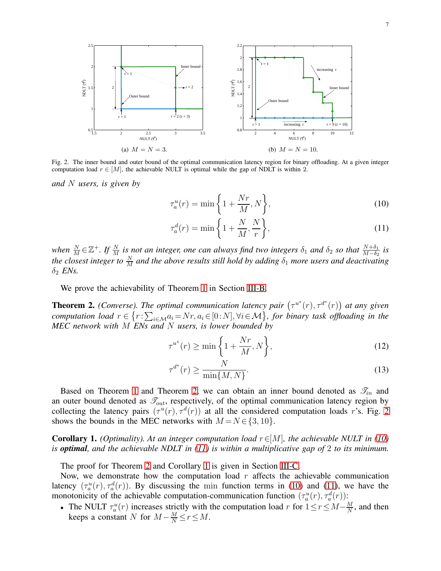<span id="page-6-2"></span>



<span id="page-6-1"></span>Fig. 2. The inner bound and outer bound of the optimal communication latency region for binary offloading. At a given integer computation load  $r \in [M]$ , the achievable NULT is optimal while the gap of NDLT is within 2.

*and* N *users, is given by*

<span id="page-6-5"></span>
$$
\tau_a^u(r) = \min\left\{1 + \frac{Nr}{M}, N\right\},\tag{10}
$$

<span id="page-6-3"></span>
$$
\tau_a^d(r) = \min\left\{1 + \frac{N}{M}, \frac{N}{r}\right\},\tag{11}
$$

when  $\frac{N}{M} \in \mathbb{Z}^+$ . If  $\frac{N}{M}$  is not an integer, one can always find two integers  $\delta_1$  and  $\delta_2$  so that  $\frac{N+\delta_1}{M-\delta_2}$  is *the closest integer to*  $\frac{N}{M}$  *and the above results still hold by adding*  $\delta_1$  *more users and deactivating*  $\delta_2$  *ENs.* 

We prove the achievability of Theorem [1](#page-5-1) in Section [III-B.](#page-7-0)

<span id="page-6-0"></span>**Theorem 2.** (Converse). The optimal communication latency pair  $(\tau^{u^*}(r), \tau^{d^*}(r))$  at any given *computation load*  $r \in \{r : \sum_{i \in \mathcal{M}} a_i = Nr, a_i \in [0:N], \forall i \in \mathcal{M}\}$ , for binary task offloading in the *MEC network with* M *ENs and* N *users, is lower bounded by*

$$
\tau^{u^*}(r) \ge \min\left\{1 + \frac{Nr}{M}, N\right\},\tag{12}
$$

$$
\tau^{d^*}(r) \ge \frac{N}{\min\{M, N\}}.\tag{13}
$$

Based on Theorem [1](#page-5-1) and Theorem [2,](#page-6-0) we can obtain an inner bound denoted as  $\mathcal{T}_{in}$  and an outer bound denoted as  $\mathcal{T}_{out}$ , respectively, of the optimal communication latency region by collecting the latency pairs  $(\tau^u(r), \tau^d(r))$  at all the considered computation loads r's. Fig. [2](#page-6-1) shows the bounds in the MEC networks with  $M = N \in \{3, 10\}.$ 

<span id="page-6-4"></span>**Corollary 1.** *(Optimality). At an integer computation load*  $r \in [M]$ *, the achievable NULT in (10) is optimal, and the achievable NDLT in [\(11\)](#page-6-3) is within a multiplicative gap of* 2 *to its minimum.*

The proof for Theorem [2](#page-6-0) and Corollary [1](#page-6-4) is given in Section [III-C.](#page-9-0)

Now, we demonstrate how the computation load  $r$  affects the achievable communication latency  $(\tau_a^u(r), \tau_a^d(r))$ . By discussing the min function terms in [\(10\)](#page-6-2) and [\(11\)](#page-6-3), we have the monotonicity of the achievable computation-communication function  $(\tau_a^u(r), \tau_a^d(r))$ :

• The NULT  $\tau_a^u(r)$  increases strictly with the computation load r for  $1 \le r \le M - \frac{M}{N}$  $\frac{M}{N}$ , and then keeps a constant N for  $M - \frac{M}{N} \le r \le M$ .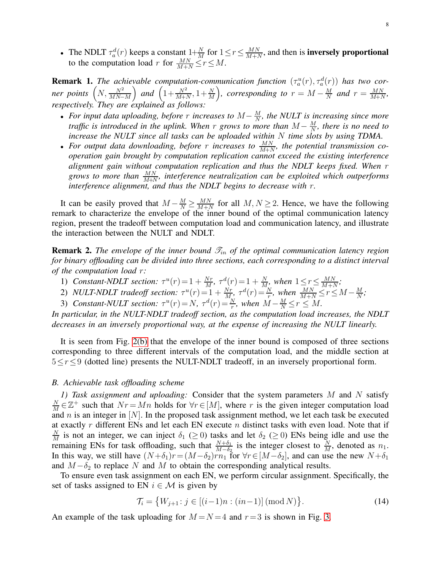• The NDLT  $\tau_a^d(r)$  keeps a constant  $1+\frac{N}{M}$  for  $1 \le r \le \frac{MN}{M+1}$  $\frac{MN}{M+N}$ , and then is **inversely proportional** to the computation load r for  $\frac{MN}{M+N} \le r \le M$ .

**Remark 1.** The achievable computation-communication function  $(\tau_a^u(r), \tau_a^d(r))$  has two cor $ner \ points \left(N, \frac{N^2}{MN-M}\right)$ ) and  $\left(1 + \frac{N^2}{M+N}, 1 + \frac{N}{M}\right)$  $\sum_{r=0}^{\infty}$ , *corresponding to*  $r = M - \frac{M}{N}$  $\frac{M}{N}$  and  $r = \frac{MN}{M+N}$  $\frac{MN}{M+N}$ *respectively. They are explained as follows:*

- *For input data uploading, before* r *increases to* M− M  $\frac{M}{N}$ , the NULT is increasing since more *traffic is introduced in the uplink. When* r *grows to more than*  $M - \frac{M}{N}$  $\frac{M}{N}$ , there is no need to *increase the NULT since all tasks can be uploaded within* N *time slots by using TDMA*.
- For output data downloading, before r increases to  $\frac{MN}{M+N}$ , the potential transmission co*operation gain brought by computation replication cannot exceed the existing interference alignment gain without computation replication and thus the NDLT keeps fixed. When* r grows to more than  $\frac{MN}{M+N}$ , interference neutralization can be exploited which outperforms *interference alignment, and thus the NDLT begins to decrease with* r*.*

It can be easily proved that  $M - \frac{M}{N} \ge \frac{MN}{M+1}$  $\frac{MN}{M+N}$  for all  $M, N \ge 2$ . Hence, we have the following remark to characterize the envelope of the inner bound of the optimal communication latency region, present the tradeoff between computation load and communication latency, and illustrate the interaction between the NULT and NDLT.

**Remark 2.** *The envelope of the inner bound*  $\mathcal{T}_{in}$  *of the optimal communication latency region for binary offloading can be divided into three sections, each corresponding to a distinct interval of the computation load* r*:*

- 1) *Constant-NDLT section:*  $\tau^u(r) = 1 + \frac{Nr}{M}$ ,  $\tau^d(r) = 1 + \frac{N}{M}$ , when  $1 \leq r \leq \frac{MN}{M+M}$  $\frac{MN}{M+N}$ ;
- 2) *NULT-NDLT tradeoff section:*  $\tau^u(r) = 1 + \frac{Nr}{M}$ ,  $\tau^d(r) = \frac{N}{r}$ , when  $\frac{MN}{M+N} \le r \le M \frac{M}{N}$  $\frac{M}{N}$ ;
- 3) *Constant-NULT section:*  $\tau^u(r) = N$ ,  $\tau^d(r) = \frac{N}{r}$ , when  $M \frac{M}{N} \le r \le M$ .

*In particular, in the NULT-NDLT tradeoff section, as the computation load increases, the NDLT decreases in an inversely proportional way, at the expense of increasing the NULT linearly.*

It is seen from Fig. [2\(b\)](#page-6-5) that the envelope of the inner bound is composed of three sections corresponding to three different intervals of the computation load, and the middle section at  $5 \leq r \leq 9$  (dotted line) presents the NULT-NDLT tradeoff, in an inversely proportional form.

## <span id="page-7-2"></span><span id="page-7-0"></span>*B. Achievable task offloading scheme*

*1) Task assignment and uploading:* Consider that the system parameters M and N satisfy N  $\frac{N}{M} \in \mathbb{Z}^+$  such that  $Nr = Mn$  holds for  $\forall r \in [M]$ , where r is the given integer computation load and  $n$  is an integer in  $[N]$ . In the proposed task assignment method, we let each task be executed at exactly  $r$  different ENs and let each EN execute  $n$  distinct tasks with even load. Note that if N  $\frac{N}{M}$  is not an integer, we can inject  $\delta_1$  ( $\geq$  0) tasks and let  $\delta_2$  ( $\geq$  0) ENs being idle and use the remaining ENs for task offloading, such that  $\frac{N+\delta_1}{M-\delta_2}$  is the integer closest to  $\frac{N}{M}$ , denoted as  $n_1$ . In this way, we still have  $(N+\delta_1)r=(M-\delta_2)r\overline{n_1}$  for  $\forall r\in [M-\delta_2]$ , and can use the new  $N+\delta_1$ and  $M-\delta_2$  to replace N and M to obtain the corresponding analytical results.

To ensure even task assignment on each EN, we perform circular assignment. Specifically, the set of tasks assigned to EN  $i \in \mathcal{M}$  is given by

<span id="page-7-1"></span>
$$
\mathcal{T}_i = \{ W_{j+1} : j \in [(i-1)n : (in-1)] \, (\text{mod } N) \}.
$$
 (14)

An example of the task uploading for  $M = N = 4$  and  $r = 3$  is shown in Fig. [3.](#page-8-0)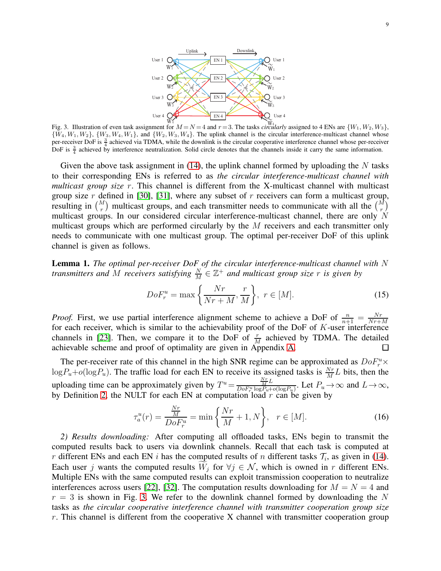

<span id="page-8-0"></span>DoF is  $\frac{3}{4}$  achieved by interference neutralization. Solid circle denotes that the channels inside it carry the same information. Fig. 3. Illustration of even task assignment for  $M = N = 4$  and  $r = 3$ . The tasks *circularly* assigned to 4 ENs are  $\{W_1, W_2, W_3\}$ ,  $\{W_4, W_1, W_2\}$ ,  $\{W_3, W_4, W_1\}$ , and  $\{W_2, W_3, W_4\}$ . The uplink channel is the circular interference-multicast channel whose per-receiver DoF is  $\frac{3}{4}$  achieved via TDMA, while the downlink is the circular cooperative interference channel whose per-receiver

to their corresponding ENs is referred to as *the circular interference-multicast channel with*  $\frac{1}{2}$  and  $\frac{1}{2}$  and  $\frac{1}{2}$  and  $\frac{1}{2}$  and  $\frac{1}{2}$  and  $\frac{1}{2}$  and  $\frac{1}{2}$  and  $\frac{1}{2}$  and  $\frac{1}{2}$  and  $\frac{1}{2}$  and  $\frac{1}{2}$  and  $\frac{1}{2}$  and  $\frac{1}{2}$  and  $\frac{1}{2}$  and  $\frac{1}{2}$  and  $\frac{1}{2}$  a multicast groups. In our considered circular interference-indireast channel, there are only  $\bar{Y}$  multicast groups which are performed circularly by the  $\bar{M}$  receivers and each transmitter only needs to communicate with one multicast group. The optimal per-receiver DoF of this uplink Given the above task assignment in  $(14)$ , the uplink channel formed by uploading the N tasks *multicast group size* r. This channel is different from the X-multicast channel with multicast resulting in  $\binom{M}{r}$  multicast groups, and each transmitter needs to communicate with all the  $\binom{M}{r}$ multicast groups. In our considered circular interference-multicast channel, there are only N channel is given as follows.

<span id="page-8-2"></span>Lemma 1. The optimal per-receiver DoF of the circular interference-multicast channel with N *transmitters and M receivers satisfying*  $\frac{N}{M} \in \mathbb{Z}^+$  *and multicast group size* r *is given by* 

<span id="page-8-3"></span>
$$
DoF_r^u = \max\left\{\frac{Nr}{Nr+M}, \frac{r}{M}\right\}, \ r \in [M].\tag{15}
$$

*Proof.* First, we use partial interference alignment scheme to achieve a DoF of  $\frac{n}{n+1} = \frac{Nr}{Nr+1}$  $Nr+M$ for each receiver, which is similar to the achievability proof of the DoF of  $K$ -user interference channels in [\[23\]](#page-21-17). Then, we compare it to the DoF of  $\frac{r}{M}$  achieved by TDMA. The detailed achievable scheme and proof of optimality are given in Appendix [A.](#page-17-1)  $\Box$ 

The per-receiver rate of this channel in the high SNR regime can be approximated as  $DoF_r^u \times$  $\log P_u + o(\log P_u)$ . The traffic load for each EN to receive its assigned tasks is  $\frac{Nr}{M}L$  bits, then the M uploading time can be approximately given by  $T^u = \frac{N_T r}{D \alpha E^u \log P + r}$  $\frac{\overline{M}^L}{DoF_v^u \log P_u + o(\log P_u)}$ . Let  $P_u \to \infty$  and  $L \to \infty$ , by Definition [2,](#page-5-2) the NULT for each EN at computation load  $r$  can be given by

<span id="page-8-1"></span>
$$
\tau_a^u(r) = \frac{\frac{Nr}{M}}{DoF_r^u} = \min\left\{\frac{Nr}{M} + 1, N\right\}, \quad r \in [M].\tag{16}
$$

*2) Results downloading:* After computing all offloaded tasks, ENs begin to transmit the computed results back to users via downlink channels. Recall that each task is computed at r different ENs and each EN i has the computed results of n different tasks  $\mathcal{T}_i$ , as given in [\(14\)](#page-7-1). Each user j wants the computed results  $W_j$  for  $\forall j \in \mathcal{N}$ , which is owned in r different ENs. Multiple ENs with the same computed results can exploit transmission cooperation to neutralize interferences across users [\[22\]](#page-21-16), [\[32\]](#page-22-4). The computation results downloading for  $M = N = 4$  and  $r = 3$  is shown in Fig. [3.](#page-8-0) We refer to the downlink channel formed by downloading the N tasks as *the circular cooperative interference channel with transmitter cooperation group size*  $r$ . This channel is different from the cooperative X channel with transmitter cooperation group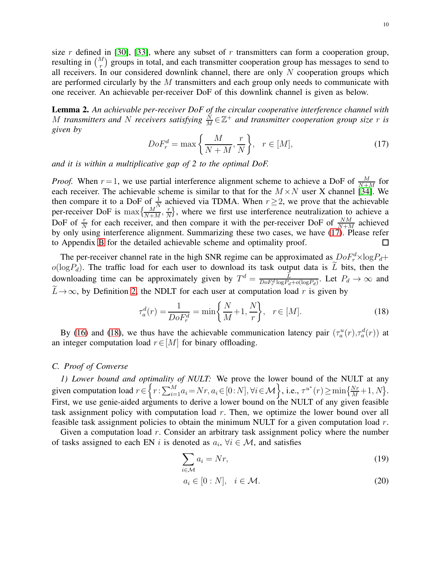size r defined in [\[30\]](#page-22-2), [\[33\]](#page-22-5), where any subset of r transmitters can form a cooperation group, resulting in  $\binom{M}{r}$  groups in total, and each transmitter cooperation group has messages to send to all receivers. In our considered downlink channel, there are only  $N$  cooperation groups which are performed circularly by the  $M$  transmitters and each group only needs to communicate with one receiver. An achievable per-receiver DoF of this downlink channel is given as below.

<span id="page-9-6"></span>Lemma 2. *An achievable per-receiver DoF of the circular cooperative interference channel with* M transmitters and N receivers satisfying  $\frac{\dot{N}}{M} \in \mathbb{Z}^+$  and transmitter cooperation group size r is *given by*

<span id="page-9-1"></span>
$$
DoF_r^d = \max\left\{\frac{M}{N+M}, \frac{r}{N}\right\}, \quad r \in [M],\tag{17}
$$

*and it is within a multiplicative gap of 2 to the optimal DoF.*

*Proof.* When  $r = 1$ , we use partial interference alignment scheme to achieve a DoF of  $\frac{M}{N+M}$  for each receiver. The achievable scheme is similar to that for the  $M \times N$  user X channel [\[34\]](#page-22-6). We then compare it to a DoF of  $\frac{1}{N}$  achieved via TDMA. When  $r \geq 2$ , we prove that the achievable per-receiver DoF is  $\max\left\{\frac{M^{'}}{N+M},\frac{r}{N}\right\}$  $\left\{\frac{r}{N}\right\}$ , where we first use interference neutralization to achieve a DoF of  $\frac{r}{N}$  for each receiver, and then compare it with the per-receiver DoF of  $\frac{NM}{N+M}$  achieved by only using interference alignment. Summarizing these two cases, we have [\(17\)](#page-9-1). Please refer to Appendix [B](#page-19-0) for the detailed achievable scheme and optimality proof.  $\Box$ 

The per-receiver channel rate in the high SNR regime can be approximated as  $DoF_r^d \times \log P_d +$  $o(logP_d)$ . The traffic load for each user to download its task output data is  $\tilde{L}$  bits, then the downloading time can be approximately given by  $T^d = \frac{\vec{L}}{D_0 F^d \log P}$ .  $\frac{L}{DoF_r^d \log P_d + o(\log P_d)}$ . Let  $P_d \to \infty$  and  $\widetilde{L} \rightarrow \infty$ , by Definition [2,](#page-5-2) the NDLT for each user at computation load r is given by

<span id="page-9-2"></span>
$$
\tau_a^d(r) = \frac{1}{DoF_r^d} = \min\left\{\frac{N}{M} + 1, \frac{N}{r}\right\}, \quad r \in [M].
$$
\n(18)

By [\(16\)](#page-8-1) and [\(18\)](#page-9-2), we thus have the achievable communication latency pair  $(\tau_a^u(r), \tau_a^d(r))$  at an integer computation load  $r \in [M]$  for binary offloading.

# <span id="page-9-5"></span><span id="page-9-0"></span>*C. Proof of Converse*

*1) Lower bound and optimality of NULT:* We prove the lower bound of the NULT at any given computation load  $r \in \left\{ r : \sum_{i=1}^{M} a_i = Nr, a_i \in [0:N], \forall i \in \mathcal{M} \right\}$ , i.e.,  $\tau^{u^*}(r) \ge \min\left\{ \frac{Nr}{M} + 1, N \right\}$ . First, we use genie-aided arguments to derive a lower bound on the NULT of any given feasible task assignment policy with computation load  $r$ . Then, we optimize the lower bound over all feasible task assignment policies to obtain the minimum NULT for a given computation load r.

Given a computation load r. Consider an arbitrary task assignment policy where the number of tasks assigned to each EN i is denoted as  $a_i$ ,  $\forall i \in \mathcal{M}$ , and satisfies

<span id="page-9-3"></span>
$$
\sum_{i \in \mathcal{M}} a_i = Nr,\tag{19}
$$

<span id="page-9-4"></span>
$$
a_i \in [0:N], \quad i \in \mathcal{M}.
$$
\n<sup>(20)</sup>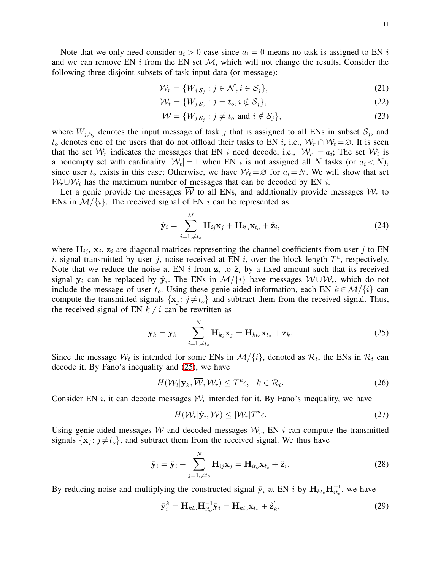Note that we only need consider  $a_i > 0$  case since  $a_i = 0$  means no task is assigned to EN i and we can remove EN i from the EN set  $\mathcal{M}$ , which will not change the results. Consider the following three disjoint subsets of task input data (or message):

$$
\mathcal{W}_r = \{W_{j, \mathcal{S}_j} : j \in \mathcal{N}, i \in \mathcal{S}_j\},\tag{21}
$$

$$
\mathcal{W}_t = \{W_{j, \mathcal{S}_j} : j = t_o, i \notin \mathcal{S}_j\},\tag{22}
$$

$$
\overline{\mathcal{W}} = \{W_{j, S_j} : j \neq t_o \text{ and } i \notin S_j\},\tag{23}
$$

where  $W_{j, S_j}$  denotes the input message of task j that is assigned to all ENs in subset  $S_j$ , and  $t_o$  denotes one of the users that do not offload their tasks to EN i, i.e.,  $W_r \cap W_t = \emptyset$ . It is seen that the set  $\mathcal{W}_r$  indicates the messages that EN i need decode, i.e.,  $|\mathcal{W}_r| = a_i$ ; The set  $\mathcal{W}_t$  is a nonempty set with cardinality  $|\mathcal{W}_t| = 1$  when EN i is not assigned all N tasks (or  $a_i < N$ ), since user  $t_o$  exists in this case; Otherwise, we have  $W_t = \emptyset$  for  $a_i = N$ . We will show that set  $W_r \cup W_t$  has the maximum number of messages that can be decoded by EN i.

Let a genie provide the messages  $\overline{W}$  to all ENs, and additionally provide messages  $W_r$  to ENs in  $\mathcal{M}/\{i\}$ . The received signal of EN i can be represented as

$$
\hat{\mathbf{y}}_i = \sum_{j=1,\neq t_o}^{M} \mathbf{H}_{ij} \mathbf{x}_j + \mathbf{H}_{it_o} \mathbf{x}_{t_o} + \hat{\mathbf{z}}_i,
$$
\n(24)

where  $H_{ij}$ ,  $x_j$ ,  $z_i$  are diagonal matrices representing the channel coefficients from user j to EN i, signal transmitted by user j, noise received at EN i, over the block length  $T^u$ , respectively. Note that we reduce the noise at EN i from  $z_i$  to  $\hat{z}_i$  by a fixed amount such that its received signal  $y_i$  can be replaced by  $\hat{y}_i$ . The ENs in  $\mathcal{M}/\{i\}$  have messages  $\mathcal{W} \cup \mathcal{W}_r$ , which do not include the message of user  $t_o$ . Using these genie-aided information, each EN  $k \in \mathcal{M}/\{i\}$  can compute the transmitted signals  $\{x_j : j \neq t_o\}$  and subtract them from the received signal. Thus, the received signal of EN  $k \neq i$  can be rewritten as

<span id="page-10-0"></span>
$$
\bar{\mathbf{y}}_k = \mathbf{y}_k - \sum_{j=1,\neq t_o}^N \mathbf{H}_{kj} \mathbf{x}_j = \mathbf{H}_{kt_o} \mathbf{x}_{t_o} + \mathbf{z}_k.
$$
 (25)

Since the message  $W_t$  is intended for some ENs in  $\mathcal{M}/\{i\}$ , denoted as  $\mathcal{R}_t$ , the ENs in  $\mathcal{R}_t$  can decode it. By Fano's inequality and [\(25\)](#page-10-0), we have

$$
H(\mathcal{W}_t|\mathbf{y}_k,\overline{\mathcal{W}},\mathcal{W}_r) \le T^u \epsilon, \quad k \in \mathcal{R}_t.
$$

Consider EN i, it can decode messages  $W_r$  intended for it. By Fano's inequality, we have

<span id="page-10-1"></span>
$$
H(\mathcal{W}_r|\hat{\mathbf{y}}_i,\overline{\mathcal{W}}) \le |\mathcal{W}_r|T^u\epsilon. \tag{27}
$$

Using genie-aided messages  $\overline{W}$  and decoded messages  $W_r$ , EN i can compute the transmitted signals  $\{x_j : j \neq t_o\}$ , and subtract them from the received signal. We thus have

$$
\bar{\mathbf{y}}_i = \hat{\mathbf{y}}_i - \sum_{j=1,\neq t_o}^N \mathbf{H}_{ij} \mathbf{x}_j = \mathbf{H}_{it_o} \mathbf{x}_{t_o} + \hat{\mathbf{z}}_i.
$$
 (28)

By reducing noise and multiplying the constructed signal  $\bar{y}_i$  at EN i by  $H_{kt_o}H_{it_o}^{-1}$ , we have

$$
\bar{\mathbf{y}}_i^k = \mathbf{H}_{kt_o} \mathbf{H}_{it_o}^{-1} \bar{\mathbf{y}}_i = \mathbf{H}_{kt_o} \mathbf{x}_{t_o} + \hat{\mathbf{z}}_k',
$$
\n(29)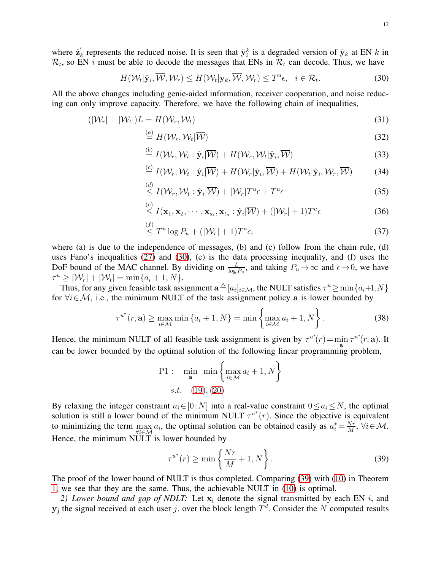where  $\hat{\mathbf{z}}_l'$  $\bar{k}_k$  represents the reduced noise. It is seen that  $\bar{y}_i^k$  is a degraded version of  $\bar{y}_k$  at EN k in  $\mathcal{R}_t$ , so EN *i* must be able to decode the messages that ENs in  $\mathcal{R}_t$  can decode. Thus, we have

<span id="page-11-0"></span>
$$
H(\mathcal{W}_t|\hat{\mathbf{y}}_i,\overline{\mathcal{W}},\mathcal{W}_r)\leq H(\mathcal{W}_t|\mathbf{y}_k,\overline{\mathcal{W}},\mathcal{W}_r)\leq T^u\epsilon,\quad i\in\mathcal{R}_t.
$$
\n(30)

All the above changes including genie-aided information, receiver cooperation, and noise reducing can only improve capacity. Therefore, we have the following chain of inequalities,

$$
(|\mathcal{W}_r| + |\mathcal{W}_t|)L = H(\mathcal{W}_r, \mathcal{W}_t)
$$
\n(31)

$$
\stackrel{(a)}{=} H(\mathcal{W}_r, \mathcal{W}_t | \overline{\mathcal{W}}) \tag{32}
$$

$$
\stackrel{(b)}{=} I(\mathcal{W}_r, \mathcal{W}_t : \hat{\mathbf{y}}_i | \overline{\mathcal{W}}) + H(\mathcal{W}_r, \mathcal{W}_t | \hat{\mathbf{y}}_i, \overline{\mathcal{W}})
$$
\n(33)

$$
\stackrel{(c)}{=} I(\mathcal{W}_r, \mathcal{W}_t : \hat{\mathbf{y}}_i | \overline{\mathcal{W}}) + H(\mathcal{W}_r | \hat{\mathbf{y}}_i, \overline{\mathcal{W}}) + H(\mathcal{W}_t | \hat{\mathbf{y}}_i, \mathcal{W}_r, \overline{\mathcal{W}})
$$
(34)

$$
\leq I(\mathcal{W}_r, \mathcal{W}_t : \hat{\mathbf{y}}_i | \overline{\mathcal{W}}) + |\mathcal{W}_r| T^u \epsilon + T^u \epsilon \tag{35}
$$

$$
\stackrel{(e)}{\leq} I(\mathbf{x}_1, \mathbf{x}_2, \cdots, \mathbf{x}_{a_i}, \mathbf{x}_{t_o} : \hat{\mathbf{y}}_i | \overline{\mathcal{W}}) + (|\mathcal{W}_r| + 1) T^u \epsilon
$$
\n(36)

$$
\leq T^u \log P_u + (|\mathcal{W}_r| + 1) T^u \epsilon,\tag{37}
$$

where (a) is due to the independence of messages, (b) and (c) follow from the chain rule, (d) uses Fano's inequalities [\(27\)](#page-10-1) and [\(30\)](#page-11-0), (e) is the data processing inequality, and (f) uses the DoF bound of the MAC channel. By dividing on  $\frac{L}{\log P_u}$ , and taking  $P_u \to \infty$  and  $\epsilon \to 0$ , we have  $\tau^u \ge |\mathcal{W}_r| + |\mathcal{W}_t| = \min\{a_i + 1, N\}.$ 

Thus, for any given feasible task assignment  $\mathbf{a} \triangleq [a_i]_{i \in \mathcal{M}}$ , the NULT satisfies  $\tau^u \ge \min\{a_i+1,N\}$ for  $\forall i \in \mathcal{M}$ , i.e., the minimum NULT of the task assignment policy a is lower bounded by

$$
\tau^{u^*}(r, \mathbf{a}) \ge \max_{i \in \mathcal{M}} \min \left\{ a_i + 1, N \right\} = \min \left\{ \max_{i \in \mathcal{M}} a_i + 1, N \right\}.
$$
 (38)

Hence, the minimum NULT of all feasible task assignment is given by  $\tau^{u^*}(r) = \min \tau^{u^*}(r, \mathbf{a})$ . It can be lower bounded by the optimal solution of the following linear programming problem,

P1: 
$$
\min_{\mathbf{a}} \min \left\{ \max_{i \in \mathcal{M}} a_i + 1, N \right\}
$$
  
s.t. (19), (20)

By relaxing the integer constraint  $a_i \in [0:N]$  into a real-value constraint  $0 \le a_i \le N$ , the optimal solution is still a lower bound of the minimum NULT  $\tau^{u^*}(r)$ . Since the objective is equivalent to minimizing the term  $\max_{i,j\in M} a_i$ , the optimal solution can be obtained easily as  $a_i^* = \frac{Nr}{M}$ Hence, the minimum NULT is lower bounded by  $\frac{N r}{M}$ ,  $\forall i \in \mathcal{M}$ .

<span id="page-11-1"></span>
$$
\tau^{u^*}(r) \ge \min\left\{\frac{Nr}{M} + 1, N\right\}.
$$
\n(39)

The proof of the lower bound of NULT is thus completed. Comparing [\(39\)](#page-11-1) with [\(10\)](#page-6-2) in Theorem [1,](#page-5-1) we see that they are the same. Thus, the achievable NULT in [\(10\)](#page-6-2) is optimal.

<span id="page-11-2"></span>2) Lower bound and gap of NDLT: Let  $x_i$  denote the signal transmitted by each EN i, and  $y_j$  the signal received at each user j, over the block length  $T<sup>d</sup>$ . Consider the N computed results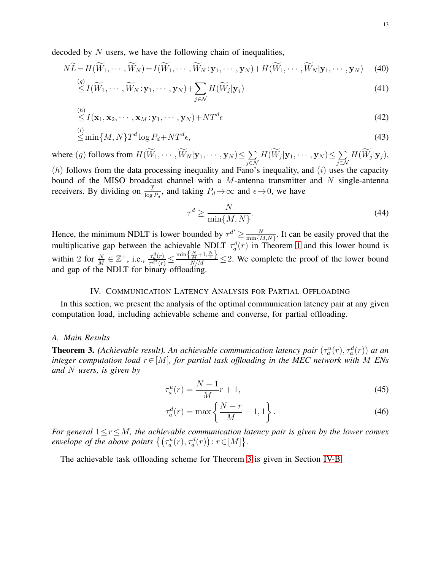decoded by  $N$  users, we have the following chain of inequalities,

$$
N\widetilde{L} = H(\widetilde{W}_1, \cdots, \widetilde{W}_N) = I(\widetilde{W}_1, \cdots, \widetilde{W}_N; \mathbf{y}_1, \cdots, \mathbf{y}_N) + H(\widetilde{W}_1, \cdots, \widetilde{W}_N | \mathbf{y}_1, \cdots, \mathbf{y}_N)
$$
(40)

$$
\stackrel{(g)}{\leq} I(\widetilde{W}_1, \cdots, \widetilde{W}_N; \mathbf{y}_1, \cdots, \mathbf{y}_N) + \sum_{j \in \mathcal{N}} H(\widetilde{W}_j | \mathbf{y}_j)
$$
\n(41)

$$
\stackrel{(h)}{\leq} I(\mathbf{x}_1, \mathbf{x}_2, \cdots, \mathbf{x}_M; \mathbf{y}_1, \cdots, \mathbf{y}_N) + NT^d \epsilon
$$
\n(42)

$$
\leq \min\{M, N\} T^d \log P_d + NT^d \epsilon,\tag{43}
$$

where  $(g)$  follows from  $H(W_1, \cdots, W_N | \mathbf{y}_1, \cdots, \mathbf{y}_N) \leq \sum_{i=1}^N$  $\sum\limits_{j\in\mathcal{N}}H(\widetilde{W}_{j}|\mathbf{y}_{1},\cdots,\mathbf{y}_{N})\!\leq\!\sum\limits_{j\in\mathcal{N}}$  $\sum_{j\in\mathcal{N}}H(W_j|\mathbf{y}_j),$  $(h)$  follows from the data processing inequality and Fano's inequality, and  $(i)$  uses the capacity bound of the MISO broadcast channel with a  $M$ -antenna transmitter and  $N$  single-antenna receivers. By dividing on  $\frac{\tilde{L}}{\log P_d}$ , and taking  $P_d \to \infty$  and  $\epsilon \to 0$ , we have

$$
\tau^d \ge \frac{N}{\min\{M, N\}}.\tag{44}
$$

Hence, the minimum NDLT is lower bounded by  $\tau^{d^*} \ge \frac{N}{\min\{h\}}$  $\frac{N}{\min\{M,N\}}$ . It can be easily proved that the multiplicative gap between the achievable NDLT  $\tau_a^d(r)$  in Theorem [1](#page-5-1) and this lower bound is within 2 for  $\frac{N}{M} \in \mathbb{Z}^+$ , i.e.,  $\frac{\tau_a^d(r)}{\tau_a^{d*}(r)}$  $\frac{\tau_a^d(r)}{\tau_a^{d^*}(r)} \leq \frac{\min\left\{\frac{N}{M}+1,\frac{N}{r}\right\}}{N/M} \leq 2$ . We complete the proof of the lower bound and gap of the NDLT for binary offloading.

## IV. COMMUNICATION LATENCY ANALYSIS FOR PARTIAL OFFLOADING

<span id="page-12-0"></span>In this section, we present the analysis of the optimal communication latency pair at any given computation load, including achievable scheme and converse, for partial offloading.

## *A. Main Results*

<span id="page-12-1"></span>**Theorem 3.** *(Achievable result). An achievable communication latency pair*  $(\tau_a^u(r), \tau_a^d(r))$  *at an integer computation load*  $r \in [M]$ *, for partial task offloading in the MEC network with* M *ENs and* N *users, is given by*

<span id="page-12-2"></span>
$$
\tau_a^u(r) = \frac{N-1}{M}r + 1,\tag{45}
$$

<span id="page-12-3"></span>
$$
\tau_a^d(r) = \max\left\{\frac{N-r}{M} + 1, 1\right\}.
$$
\n(46)

*For general* 1≤r≤M*, the achievable communication latency pair is given by the lower convex envelope of the above points*  $\left\{ \left( \tau_a^u(r), \tau_a^d(r) \right) : r \in [M] \right\}$ .

The achievable task offloading scheme for Theorem [3](#page-12-1) is given in Section [IV-B.](#page-14-0)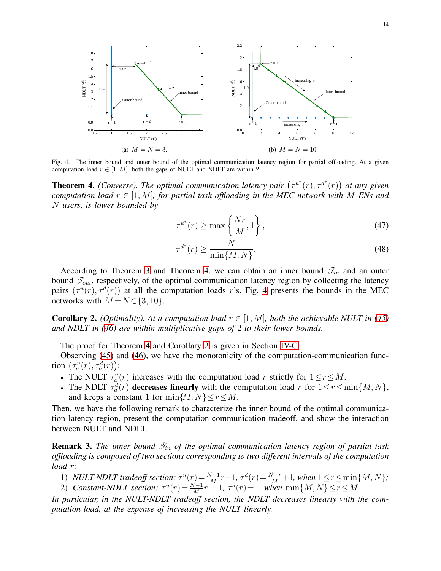

<span id="page-13-1"></span>Fig. 4. The inner bound and outer bound of the optimal communication latency region for partial offloading. At a given computation load  $r \in [1, M]$ , both the gaps of NULT and NDLT are within 2.

<span id="page-13-0"></span>**Theorem 4.** (Converse). The optimal communication latency pair  $(\tau^{u^*}(r), \tau^{d^*}(r))$  at any given *computation load*  $r \in [1, M]$ *, for partial task offloading in the MEC network with* M *ENs and* N *users, is lower bounded by*

$$
\tau^{u^*}(r) \ge \max\left\{\frac{Nr}{M}, 1\right\},\tag{47}
$$

$$
\tau^{d^*}(r) \ge \frac{N}{\min\{M, N\}}.\tag{48}
$$

According to Theorem [3](#page-12-1) and Theorem [4,](#page-13-0) we can obtain an inner bound  $\mathcal{I}_{in}$  and an outer bound  $\mathcal{T}_{out}$ , respectively, of the optimal communication latency region by collecting the latency pairs  $(\tau^u(r), \tau^d(r))$  at all the computation loads r's. Fig. [4](#page-13-1) presents the bounds in the MEC networks with  $M = N \in \{3, 10\}.$ 

<span id="page-13-2"></span>**Corollary 2.** *(Optimality). At a computation load*  $r \in [1, M]$ *, both the achievable NULT in* [\(45\)](#page-12-2) *and NDLT in [\(46\)](#page-12-3) are within multiplicative gaps of* 2 *to their lower bounds.*

The proof for Theorem [4](#page-13-0) and Corollary [2](#page-13-2) is given in Section [IV-C.](#page-15-0)

Observing [\(45\)](#page-12-2) and [\(46\)](#page-12-3), we have the monotonicity of the computation-communication function  $(\tau_a^u(r), \tau_a^d(r))$ :

- The NULT  $\tau_a^u(r)$  increases with the computation load r strictly for  $1 \le r \le M$ .
- The NDLT  $\tau_a^d(r)$  decreases linearly with the computation load r for  $1 \le r \le \min\{M, N\}$ , and keeps a constant 1 for  $\min\{M, N\} \leq r \leq M$ .

Then, we have the following remark to characterize the inner bound of the optimal communication latency region, present the computation-communication tradeoff, and show the interaction between NULT and NDLT.

**Remark 3.** *The inner bound*  $\mathcal{T}_{in}$  *of the optimal communication latency region of partial task offloading is composed of two sections corresponding to two different intervals of the computation load* r*:*

1) *NULT-NDLT tradeoff section:*  $\tau^u(r) = \frac{N-1}{M}r+1$ ,  $\tau^d(r) = \frac{N-r}{M}+1$ , when  $1 \le r \le \min\{M, N\}$ ; 2) *Constant-NDLT section:*  $\tau^u(r) = \frac{N-1}{M}r + 1$ ,  $\tau^d(r) = 1$ , when  $\min\{M, N\} \le r \le M$ .

*In particular, in the NULT-NDLT tradeoff section, the NDLT decreases linearly with the computation load, at the expense of increasing the NULT linearly.*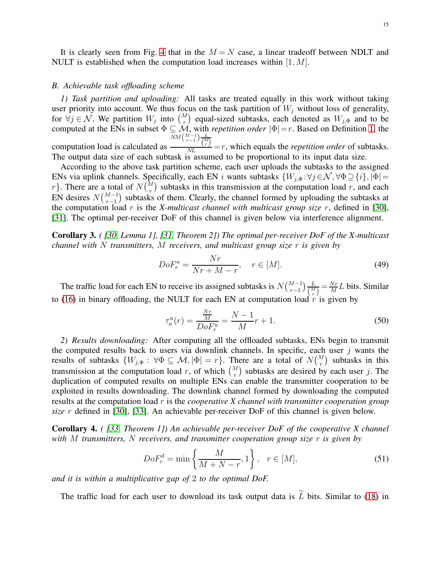It is clearly seen from Fig. [4](#page-13-1) that in the  $M = N$  case, a linear tradeoff between NDLT and NULT is established when the computation load increases within  $[1, M]$ .

#### <span id="page-14-0"></span>*B. Achievable task offloading scheme*

*1) Task partition and uploading:* All tasks are treated equally in this work without taking user priority into account. We thus focus on the task partition of  $W_j$  without loss of generality, for  $\forall j \in \mathcal{N}$ . We partition  $W_j$  into  $\binom{M}{r}$  equal-sized subtasks, each denoted as  $W_{j,\Phi}$  and to be computed at the ENs in subset  $\Phi \subseteq M$ , with *repetition order*  $|\Phi|=r$ . Based on Definition [1,](#page-4-0) the  $\frac{\sqrt{NM} \binom{M-1}{r-1} \frac{L}{\binom{M}{r}}}{NL} = r$ , which equals the *repetition order* of subtasks.

computation load is calculated as The output data size of each subtask is assumed to be proportional to its input data size.

According to the above task partition scheme, each user uploads the subtasks to the assigned ENs via uplink channels. Specifically, each EN i wants subtasks  $\{W_{j,\Phi} : \forall j \in \mathcal{N}, \forall \Phi \supseteq \{i\}, |\Phi|=$ r}. There are a total of  $N\binom{M}{r}$  subtasks in this transmission at the computation load r, and each EN desires  $N\binom{M-1}{r-1}$  subtasks of them. Clearly, the channel formed by uploading the subtasks at the computation load r is the *X-multicast channel with multicast group size* r, defined in [\[30\]](#page-22-2), [\[31\]](#page-22-3). The optimal per-receiver DoF of this channel is given below via interference alignment.

Corollary 3. *( [\[30,](#page-22-2) Lemma 1], [\[31,](#page-22-3) Theorem 2]) The optimal per-receiver DoF of the X-multicast channel with* N *transmitters,* M *receivers, and multicast group size* r *is given by*

$$
DoF_r^u = \frac{Nr}{Nr + M - r}, \quad r \in [M].
$$
\n(49)

The traffic load for each EN to receive its assigned subtasks is  $N\binom{M-1}{r-1}\frac{L}{\binom{M}{r}}$  $\frac{L}{\binom{M}{r}} = \frac{Nr}{M}$  $\frac{N r}{M} L$  bits. Similar to [\(16\)](#page-8-1) in binary offloading, the NULT for each EN at computation load  $r$  is given by

<span id="page-14-1"></span>
$$
\tau_a^u(r) = \frac{\frac{Nr}{M}}{DoF_r^u} = \frac{N-1}{M}r + 1.
$$
\n(50)

*2) Results downloading:* After computing all the offloaded subtasks, ENs begin to transmit the computed results back to users via downlink channels. In specific, each user  $j$  wants the results of subtasks  $\{W_{j,\Phi} : \forall \Phi \subseteq \mathcal{M}, |\Phi| = r\}$ . There are a total of  $N {M \choose r}$  subtasks in this transmission at the computation load r, of which  $\binom{M}{r}$  subtasks are desired by each user j. The duplication of computed results on multiple ENs can enable the transmitter cooperation to be exploited in results downloading. The downlink channel formed by downloading the computed results at the computation load r is the *cooperative X channel with transmitter cooperation group size* r defined in [\[30\]](#page-22-2), [\[33\]](#page-22-5). An achievable per-receiver DoF of this channel is given below.

Corollary 4. *( [\[33,](#page-22-5) Theorem 1]) An achievable per-receiver DoF of the cooperative X channel with* M *transmitters,* N *receivers, and transmitter cooperation group size* r *is given by*

$$
DoF_r^d = \min\left\{\frac{M}{M+N-r}, 1\right\}, \quad r \in [M],\tag{51}
$$

*and it is within a multiplicative gap of* 2 *to the optimal DoF.*

The traffic load for each user to download its task output data is  $\tilde{L}$  bits. Similar to [\(18\)](#page-9-2) in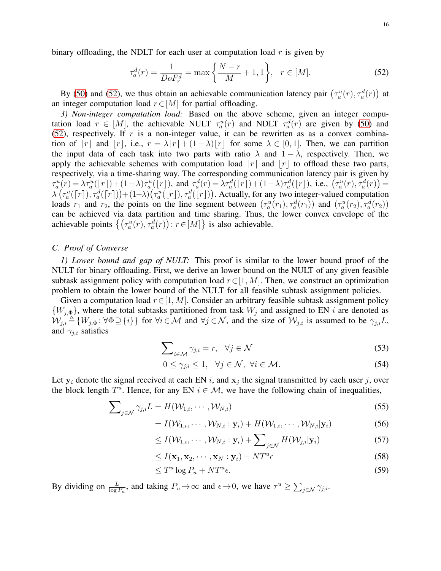binary offloading, the NDLT for each user at computation load  $r$  is given by

<span id="page-15-1"></span>
$$
\tau_a^d(r) = \frac{1}{DoF_r^d} = \max\left\{\frac{N-r}{M} + 1, 1\right\}, \quad r \in [M].
$$
 (52)

By [\(50\)](#page-14-1) and [\(52\)](#page-15-1), we thus obtain an achievable communication latency pair  $(\tau_a^u(r), \tau_a^d(r))$  at an integer computation load  $r \in [M]$  for partial offloading.

*3) Non-integer computation load:* Based on the above scheme, given an integer computation load  $r \in [M]$ , the achievable NULT  $\tau_a^u(r)$  and NDLT  $\tau_a^d(r)$  are given by [\(50\)](#page-14-1) and [\(52\)](#page-15-1), respectively. If  $r$  is a non-integer value, it can be rewritten as as a convex combination of  $[r]$  and  $|r|$ , i.e.,  $r = \lambda[r] + (1-\lambda)|r|$  for some  $\lambda \in [0,1]$ . Then, we can partition the input data of each task into two parts with ratio  $\lambda$  and  $1 - \lambda$ , respectively. Then, we apply the achievable schemes with computation load  $[r]$  and  $[r]$  to offload these two parts, respectively, via a time-sharing way. The corresponding communication latency pair is given by  $\tau_a^u(r) = \lambda \tau_a^u(\lceil r \rceil) + (1-\lambda) \tau_a^u(\lceil r \rceil)$ , and  $\tau_a^d(r) = \lambda \tau_a^d(\lceil r \rceil) + (1-\lambda) \tau_a^d(\lceil r \rceil)$ , i.e.,  $(\tau_a^u(r), \tau_a^d(r)) =$  $\lambda(\tau_a^u([r]), \tau_a^d([r])) + (1-\lambda)(\tau_a^u([r]), \tau_a^d([r]))$ . Actually, for any two integer-valued computation loads  $r_1$  and  $r_2$ , the points on the line segment between  $(\tau_a^u(r_1), \tau_a^d(r_1))$  and  $(\tau_a^u(r_2), \tau_a^d(r_2))$ can be achieved via data partition and time sharing. Thus, the lower convex envelope of the achievable points  $\{(\tau_a^u(r), \tau_a^d(r)) : r \in [M]\}$  is also achievable.

## <span id="page-15-0"></span>*C. Proof of Converse*

*1) Lower bound and gap of NULT:* This proof is similar to the lower bound proof of the NULT for binary offloading. First, we derive an lower bound on the NULT of any given feasible subtask assignment policy with computation load  $r \in [1, M]$ . Then, we construct an optimization problem to obtain the lower bound of the NULT for all feasible subtask assignment policies.

Given a computation load  $r \in [1, M]$ . Consider an arbitrary feasible subtask assignment policy  $\{W_{j,\Phi}\}\$ , where the total subtasks partitioned from task  $W_j$  and assigned to EN i are denoted as  $W_{j,i} \triangleq \{W_{j,\Phi}: \forall \Phi \supseteq \{i\}\}\$  for  $\forall i \in \mathcal{M}$  and  $\forall j \in \mathcal{N}$ , and the size of  $\mathcal{W}_{j,i}$  is assumed to be  $\gamma_{j,i}L$ , and  $\gamma_{i,i}$  satisfies

$$
\sum_{i \in \mathcal{M}} \gamma_{j,i} = r, \quad \forall j \in \mathcal{N} \tag{53}
$$

<span id="page-15-3"></span><span id="page-15-2"></span>
$$
0 \le \gamma_{j,i} \le 1, \quad \forall j \in \mathcal{N}, \ \forall i \in \mathcal{M}.\tag{54}
$$

Let  $y_i$  denote the signal received at each EN i, and  $x_j$  the signal transmitted by each user j, over the block length  $T^u$ . Hence, for any EN  $i \in \mathcal{M}$ , we have the following chain of inequalities,

$$
\sum_{j \in \mathcal{N}} \gamma_{j,i} L = H(\mathcal{W}_{1,i}, \cdots, \mathcal{W}_{N,i})
$$
\n(55)

$$
= I(\mathcal{W}_{1,i},\cdots,\mathcal{W}_{N,i}:\mathbf{y}_i) + H(\mathcal{W}_{1,i},\cdots,\mathcal{W}_{N,i}|\mathbf{y}_i)
$$
(56)

$$
\leq I(\mathcal{W}_{1,i},\cdots,\mathcal{W}_{N,i}:\mathbf{y}_i)+\sum\nolimits_{j\in\mathcal{N}}H(\mathcal{W}_{j,i}|\mathbf{y}_i)\tag{57}
$$

$$
\leq I(\mathbf{x}_1, \mathbf{x}_2, \cdots, \mathbf{x}_N : \mathbf{y}_i) + NT^u \epsilon \tag{58}
$$

$$
\leq T^u \log P_u + NT^u \epsilon. \tag{59}
$$

By dividing on  $\frac{L}{\log P_u}$ , and taking  $P_u \to \infty$  and  $\epsilon \to 0$ , we have  $\tau^u \ge \sum_{j \in \mathcal{N}} \gamma_{j,i}$ .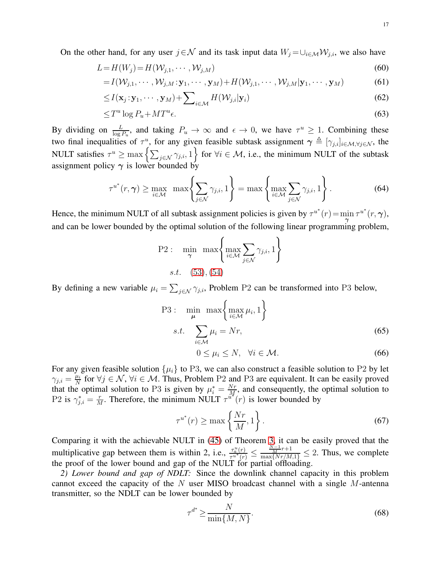On the other hand, for any user  $j \in \mathcal{N}$  and its task input data  $W_j = \bigcup_{i \in \mathcal{M}} \mathcal{W}_{j,i}$ , we also have

$$
L = H(Wj) = H(Wj,1, \cdots, Wj,M)
$$
\n(60)

$$
=I(\mathcal{W}_{j,1},\cdots,\mathcal{W}_{j,M};\mathbf{y}_1,\cdots,\mathbf{y}_M)+H(\mathcal{W}_{j,1},\cdots,\mathcal{W}_{j,M}|\mathbf{y}_1,\cdots,\mathbf{y}_M) \tag{61}
$$

$$
\leq I(\mathbf{x}_{j}:\mathbf{y}_{1},\cdots,\mathbf{y}_{M})+\sum\nolimits_{i\in\mathcal{M}}H(\mathcal{W}_{j,i}|\mathbf{y}_{i})
$$
\n(62)

$$
\leq T^u \log P_u + MT^u \epsilon. \tag{63}
$$

By dividing on  $\frac{L}{\log P_u}$ , and taking  $P_u \to \infty$  and  $\epsilon \to 0$ , we have  $\tau^u \ge 1$ . Combining these two final inequalities of  $\tau^u$ , for any given feasible subtask assignment  $\gamma \triangleq [\gamma_{j,i}]_{i \in \mathcal{M}, \forall j \in \mathcal{N}}$ , the NULT satisfies  $\tau^u \ge \max \left\{ \sum_{j \in \mathcal{N}} \gamma_{j,i}, 1 \right\}$  for  $\forall i \in \mathcal{M}$ , i.e., the minimum NULT of the subtask assignment policy  $\gamma$  is lower bounded by

$$
\tau^{u^*}(r,\gamma) \ge \max_{i \in \mathcal{M}} \max \left\{ \sum_{j \in \mathcal{N}} \gamma_{j,i}, 1 \right\} = \max \left\{ \max_{i \in \mathcal{M}} \sum_{j \in \mathcal{N}} \gamma_{j,i}, 1 \right\}.
$$
 (64)

Hence, the minimum NULT of all subtask assignment policies is given by  $\tau^{u^*}(r) = \min \tau^{u^*}(r, \gamma)$ , and can be lower bounded by the optimal solution of the following linear programming problem,

P2: 
$$
\min_{\gamma} \max \left\{ \max_{i \in \mathcal{M}} \sum_{j \in \mathcal{N}} \gamma_{j,i}, 1 \right\}
$$
*s.t.* (53), (54)

By defining a new variable  $\mu_i = \sum_{j \in \mathcal{N}} \gamma_{j,i}$ , Problem P2 can be transformed into P3 below,

P3: 
$$
\min_{\mu} \max \left\{ \max_{i \in \mathcal{M}} \mu_i, 1 \right\}
$$
  
s.t. 
$$
\sum_{i \in \mathcal{M}} \mu_i = Nr,
$$
  

$$
0 \le \mu_i \le N, \quad \forall i \in \mathcal{M}.
$$
 (66)

For any given feasible solution  $\{\mu_i\}$  to P3, we can also construct a feasible solution to P2 by let  $\gamma_{j,i} = \frac{\mu_i}{N}$  $\frac{\mu_i}{N}$  for  $\forall j \in \mathcal{N}$ ,  $\forall i \in \mathcal{M}$ . Thus, Problem P2 and P3 are equivalent. It can be easily proved that the optimal solution to P3 is given by  $\mu_i^* = \frac{Nr}{M}$  $\frac{N r}{M}$ , and consequently, the optimal solution to P2 is  $\gamma_{j,i}^* = \frac{r}{M}$  $\frac{r}{M}$ . Therefore, the minimum NULT  $\tau^{u^*}(r)$  is lower bounded by

$$
\tau^{u^*}(r) \ge \max\left\{\frac{Nr}{M}, 1\right\}.
$$
\n(67)

Comparing it with the achievable NULT in [\(45\)](#page-12-2) of Theorem [3,](#page-12-1) it can be easily proved that the multiplicative gap between them is within 2, i.e.,  $\frac{\tau_u^u(r)}{e^{u^*}(r)}$  $\frac{\tau_a^u(r)}{\tau^{u^*}(r)} \leq \frac{\frac{N-1}{M}r+1}{\max\{Nr/M,1\}} \leq 2$ . Thus, we complete the proof of the lower bound and gap of the NULT for partial offloading.

*2) Lower bound and gap of NDLT:* Since the downlink channel capacity in this problem cannot exceed the capacity of the  $N$  user MISO broadcast channel with a single  $M$ -antenna transmitter, so the NDLT can be lower bounded by

<span id="page-16-0"></span>
$$
\tau^{d^*} \ge \frac{N}{\min\{M, N\}}.\tag{68}
$$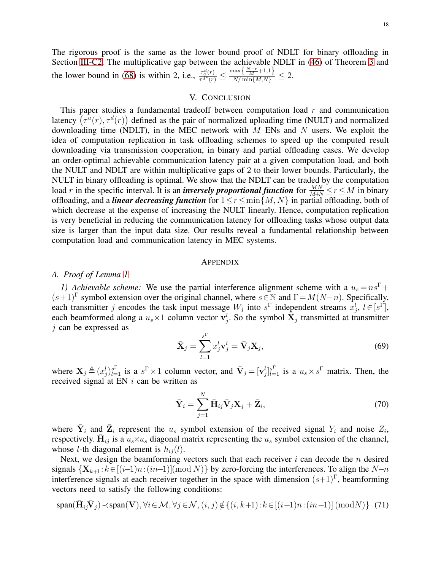The rigorous proof is the same as the lower bound proof of NDLT for binary offloading in Section [III-C2.](#page-11-2) The multiplicative gap between the achievable NDLT in [\(46\)](#page-12-3) of Theorem [3](#page-12-1) and the lower bound in [\(68\)](#page-16-0) is within 2, i.e.,  $\frac{\tau_a^d(r)}{\tau_a d^* (r)}$  $\frac{\tau_a^d(r)}{\tau^{d^*(r)}} \leq \frac{\max\{\frac{N-r}{M}+1,1\}}{N/\min\{M,N\}} \leq 2.$ 

#### V. CONCLUSION

<span id="page-17-0"></span>This paper studies a fundamental tradeoff between computation load  $r$  and communication latency  $(\tau^u(r), \tau^d(r))$  defined as the pair of normalized uploading time (NULT) and normalized downloading time (NDLT), in the MEC network with  $M$  ENs and  $N$  users. We exploit the idea of computation replication in task offloading schemes to speed up the computed result downloading via transmission cooperation, in binary and partial offloading cases. We develop an order-optimal achievable communication latency pair at a given computation load, and both the NULT and NDLT are within multiplicative gaps of 2 to their lower bounds. Particularly, the NULT in binary offloading is optimal. We show that the NDLT can be traded by the computation load r in the specific interval. It is an *inversely proportional function* for  $\frac{MN}{M+N} \le r \le M$  in binary offloading, and a *linear decreasing function* for  $1 \le r \le \min\{M, N\}$  in partial offloading, both of which decrease at the expense of increasing the NULT linearly. Hence, computation replication is very beneficial in reducing the communication latency for offloading tasks whose output data size is larger than the input data size. Our results reveal a fundamental relationship between computation load and communication latency in MEC systems.

## **APPENDIX**

# <span id="page-17-1"></span>*A. Proof of Lemma [1](#page-8-2)*

*1) Achievable scheme:* We use the partial interference alignment scheme with a  $u_s = n s^{\Gamma} +$  $(s+1)^{\Gamma}$  symbol extension over the original channel, where  $s \in \mathbb{N}$  and  $\Gamma = M(N-n)$ . Specifically, each transmitter j encodes the task input message  $W_j$  into  $s^{\Gamma}$  independent streams  $x_j^l$ ,  $l \in [s^{\Gamma}]$ , each beamformed along a  $u_s \times 1$  column vector  $\mathbf{v}_j^l$ . So the symbol  $\bar{\mathbf{X}}_j$  transmitted at transmitter j can be expressed as

$$
\bar{\mathbf{X}}_j = \sum_{l=1}^{s^{\Gamma}} x_j^l \mathbf{v}_j^l = \bar{\mathbf{V}}_j \mathbf{X}_j,
$$
\n(69)

where  $\mathbf{X}_j \triangleq (x_j^l)_{l=1}^{s^{\Gamma}}$  is a  $s^{\Gamma} \times 1$  column vector, and  $\bar{\mathbf{V}}_j = [\mathbf{v}_j^l]_{l=1}^{s^{\Gamma}}$  is a  $u_s \times s^{\Gamma}$  matrix. Then, the received signal at EN  $i$  can be written as

$$
\bar{\mathbf{Y}}_i = \sum_{j=1}^N \bar{\mathbf{H}}_{ij} \bar{\mathbf{V}}_j \mathbf{X}_j + \bar{\mathbf{Z}}_i, \tag{70}
$$

where  $\bar{Y}_i$  and  $\bar{Z}_i$  represent the  $u_s$  symbol extension of the received signal  $Y_i$  and noise  $Z_i$ , respectively.  $\bar{H}_{ij}$  is a  $u_s \times u_s$  diagonal matrix representing the  $u_s$  symbol extension of the channel, whose *l*-th diagonal element is  $h_{ij}(l)$ .

Next, we design the beamforming vectors such that each receiver  $i$  can decode the  $n$  desired signals  $\{X_{k+1}:k\in[(i-1)n:(in-1)]\text{(mod }N\}$  by zero-forcing the interferences. To align the N–n interference signals at each receiver together in the space with dimension  $(s+1)^{\Gamma}$ , beamforming vectors need to satisfy the following conditions:

<span id="page-17-2"></span>
$$
\text{span}(\bar{\mathbf{H}}_{ij}\bar{\mathbf{V}}_j) \prec \text{span}(\mathbf{V}), \forall i \in \mathcal{M}, \forall j \in \mathcal{N}, (i,j) \notin \{(i,k+1): k \in [(i-1)n:(in-1)] \ (\text{mod} N) \} \tag{71}
$$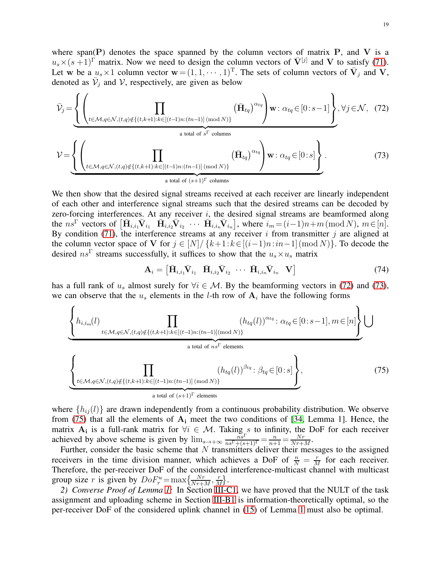where span(P) denotes the space spanned by the column vectors of matrix  $P$ , and  $V$  is a  $u_s \times (s+1)^{\Gamma}$  matrix. Now we need to design the column vectors of  $\bar{V}^{[j]}$  and V to satisfy [\(71\)](#page-17-2). Let w be a  $u_s \times 1$  column vector  $\mathbf{w} = (1, 1, \dots, 1)^\text{T}$ . The sets of column vectors of  $\bar{\mathbf{V}}_j$  and  $\mathbf{V}$ , denoted as  $\bar{V}_j$  and V, respectively, are given as below

$$
\bar{\mathcal{V}}_{j} = \underbrace{\left\{\left(\prod_{t \in \mathcal{M}, q \in \mathcal{N}, (t,q) \notin \{(t,k+1):k \in [(t-1)n:(tn-1)] \text{ (mod } N)\}}^{(i_{t} \bar{\mathbf{H}}_{tq})^{\alpha_{tq}}} \right) \mathbf{w} : \alpha_{tq} \in [0:s-1] \right\}}_{a \text{ total of } s \text{ F columns}},
$$
\n
$$
\mathcal{V} = \underbrace{\left\{\left(\prod_{t \in \mathcal{M}, q \in \mathcal{N}, (t,q) \notin \{(t,k+1):k \in [(t-1)n:(tn-1)] \text{ (mod } N)\}}^{(i_{t} \bar{\mathbf{H}}_{tq})^{\alpha_{tq}}} \right) \mathbf{w} : \alpha_{tq} \in [0:s] \right\}}_{a \text{ total of } (s+1)^{\Gamma} \text{ columns}}.
$$
\n(73)

We then show that the desired signal streams received at each receiver are linearly independent of each other and interference signal streams such that the desired streams can be decoded by zero-forcing interferences. At any receiver  $i$ , the desired signal streams are beamformed along the ns<sup>Γ</sup> vectors of  $\left[\bar{\mathbf{H}}_{i,i_1}\bar{\mathbf{V}}_{i_1} \ \ \bar{\mathbf{H}}_{i,i_2}\bar{\mathbf{V}}_{i_2} \ \cdots \ \bar{\mathbf{H}}_{i,i_n}\bar{\mathbf{V}}_{i_n}\right]$ , where  $i_m = (i-1)n+m \,(\text{mod } N)$ ,  $m \in [n]$ . By condition [\(71\)](#page-17-2), the interference streams at any receiver  $i$  from transmitter  $j$  are aligned at the column vector space of V for  $j \in [N] / \{k+1 : k \in [(i-1)n : in-1] \pmod{N}\}$ . To decode the desired  $ns^{\Gamma}$  streams successfully, it suffices to show that the  $u_s \times u_s$  matrix

<span id="page-18-1"></span><span id="page-18-0"></span>
$$
\mathbf{A}_{i} = \begin{bmatrix} \bar{\mathbf{H}}_{i,i} \bar{\mathbf{V}}_{i1} & \bar{\mathbf{H}}_{i,i} \bar{\mathbf{V}}_{i2} & \cdots & \bar{\mathbf{H}}_{i,i} \bar{\mathbf{V}}_{i_n} & \mathbf{V} \end{bmatrix}
$$
(74)

has a full rank of  $u_s$  almost surely for  $\forall i \in \mathcal{M}$ . By the beamforming vectors in [\(72\)](#page-18-0) and [\(73\)](#page-18-1), we can observe that the  $u_s$  elements in the *l*-th row of  $A_i$  have the following forms

$$
\underbrace{\left\{\underset{t \in \mathcal{M}, q \in \mathcal{N}, (t,q) \notin \{(t,k+1):k \in [(t-1)n:(tn-1)] \text{ (mod } N)\}}{\prod_{a \text{ total of } ns^{\Gamma} \text{ elements}} (\underset{h_{tq}(l))}{h_{tq}(l)})^{\alpha_{tq}} : \alpha_{tq} \in [0:s-1], m \in [n] \right\}}_{a \text{ total of } ns^{\Gamma} \text{ elements}}
$$
\n
$$
\left\{\underset{t \in \mathcal{M}, q \in \mathcal{N}, (t,q) \notin \{(t,k+1):k \in [(t-1)n:(tn-1)] \text{ (mod } N)\}}{\prod_{a \text{ total of } (s+1)^{\Gamma} \text{ elements}} (\underset{h_{tq}(l))}{h_{tq}(l)})^{\beta_{tq}} : \beta_{tq} \in [0:s] \right\},
$$
\n(75)

<span id="page-18-2"></span>where  $\{h_{ij}(l)\}\$  are drawn independently from a continuous probability distribution. We observe from [\(75\)](#page-18-2) that all the elements of  $A_i$  meet the two conditions of [\[34,](#page-22-6) Lemma 1]. Hence, the matrix  $A_i$  is a full-rank matrix for  $\forall i \in \mathcal{M}$ . Taking s to infinity, the DoF for each receiver achieved by above scheme is given by  $\lim_{s \to +\infty} \frac{\overset{n}{ns} \Gamma}{ns \Gamma + (s+1) \Gamma} = \frac{n}{n+1} = \frac{Nr}{Nr+1}$  $\frac{Nr}{Nr+M}$ .

Further, consider the basic scheme that N transmitters deliver their messages to the assigned receivers in the time division manner, which achieves a DoF of  $\frac{n}{N} = \frac{r}{M}$  $\frac{r}{M}$  for each receiver. Therefore, the per-receiver DoF of the considered interference-multicast channel with multicast group size r is given by  $DoF_r^u = \max\left\{\frac{Nr}{Nr+M}, \frac{r}{M}\right\}$  $\frac{r}{M}$ .

*2) Converse Proof of Lemma [1:](#page-8-2)* In Section [III-C1,](#page-9-5) we have proved that the NULT of the task assignment and uploading scheme in Section [III-B1](#page-7-2) is information-theoretically optimal, so the per-receiver DoF of the considered uplink channel in [\(15\)](#page-8-3) of Lemma [1](#page-8-2) must also be optimal.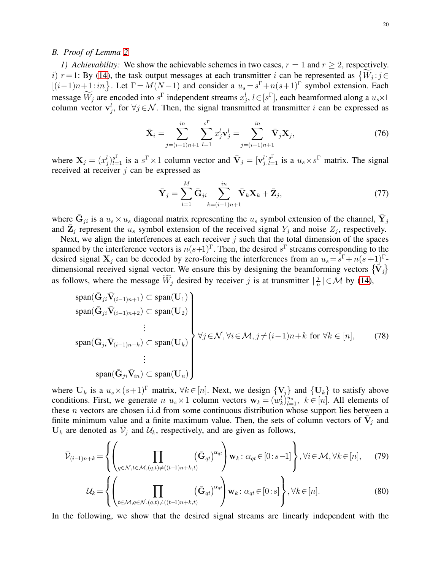#### <span id="page-19-0"></span>*B. Proof of Lemma [2](#page-9-6)*

*1)* Achievability: We show the achievable schemes in two cases,  $r = 1$  and  $r > 2$ , respectively. i)  $r=1$ : By [\(14\)](#page-7-1), the task output messages at each transmitter i can be represented as  $\{ \widetilde{W}_j : j \in \mathbb{N} \}$  $[(i-1)n+1:in]$ . Let  $\Gamma = M(N-1)$  and consider a  $u_s = s^{\Gamma} + n(s+1)^{\Gamma}$  symbol extension. Each message  $W_j$  are encoded into  $s^{\Gamma}$  independent streams  $x_j^l$ ,  $l \in [s^{\Gamma}]$ , each beamformed along a  $u_s \times 1$ column vector  $\mathbf{v}_j^l$ , for  $\forall j \in \mathcal{N}$ . Then, the signal transmitted at transmitter i can be expressed as

$$
\bar{\mathbf{X}}_i = \sum_{j=(i-1)n+1}^{in} \sum_{l=1}^{s^{\Gamma}} x_j^l \mathbf{v}_j^l = \sum_{j=(i-1)n+1}^{in} \bar{\mathbf{V}}_j \mathbf{X}_j,
$$
\n(76)

where  $X_j = (x_j^l)_{l=1}^{s^{\Gamma}}$  is a  $s^{\Gamma} \times 1$  column vector and  $\bar{V}_j = [\mathbf{v}_j^l]_{l=1}^{s^{\Gamma}}$  is a  $u_s \times s^{\Gamma}$  matrix. The signal received at receiver  $j$  can be expressed as

$$
\bar{\mathbf{Y}}_j = \sum_{i=1}^M \bar{\mathbf{G}}_{ji} \sum_{k=(i-1)n+1}^{in} \bar{\mathbf{V}}_k \mathbf{X}_k + \bar{\mathbf{Z}}_j, \tag{77}
$$

where  $\bar{G}_{ji}$  is a  $u_s \times u_s$  diagonal matrix representing the  $u_s$  symbol extension of the channel,  $\bar{Y}_j$ and  $\bar{\mathbf{Z}}_j$  represent the  $u_s$  symbol extension of the received signal  $Y_j$  and noise  $Z_j$ , respectively.

Next, we align the interferences at each receiver  $j$  such that the total dimension of the spaces spanned by the interference vectors is  $n(s+1)^{\Gamma}$ . Then, the desired  $s^{\Gamma}$  streams corresponding to the desired signal  $X_j$  can be decoded by zero-forcing the interferences from an  $u_s = s^{\Gamma} + n(s+1)^{\Gamma}$ . dimensional received signal vector. We ensure this by designing the beamforming vectors  $\{\vec{V}_j\}$ as follows, where the message  $\widetilde{W}_j$  desired by receiver j is at transmitter  $\lceil \frac{j}{n} \rceil$  $\frac{d}{n}$   $\in \mathcal{M}$  by [\(14\)](#page-7-1),

<span id="page-19-1"></span>
$$
\operatorname{span}(\bar{G}_{ji}\bar{V}_{(i-1)n+1}) \subset \operatorname{span}(\mathbf{U}_1) \n\operatorname{span}(\bar{G}_{ji}\bar{V}_{(i-1)n+2}) \subset \operatorname{span}(\mathbf{U}_2) \n\vdots \n\operatorname{span}(\bar{G}_{ji}\bar{V}_{(i-1)n+k}) \subset \operatorname{span}(\mathbf{U}_k) \n\vdots \n\operatorname{span}(\bar{G}_{ji}\bar{V}_{(i-1)n+k}) \subset \operatorname{span}(\mathbf{U}_k) \n\vdots \n\operatorname{span}(\bar{G}_{ji}\bar{V}_{in}) \subset \operatorname{span}(\mathbf{U}_n)
$$
\n(78)

where  $U_k$  is a  $u_s \times (s+1)^\Gamma$  matrix,  $\forall k \in [n]$ . Next, we design  $\{V_j\}$  and  $\{U_k\}$  to satisfy above conditions. First, we generate  $n \ u_s \times 1$  column vectors  $\mathbf{w}_k = (w_k^l)_{l=1}^{u_s}, \ k \in [n]$ . All elements of these *n* vectors are chosen i.i.d from some continuous distribution whose support lies between a finite minimum value and a finite maximum value. Then, the sets of column vectors of  $\overline{V}_j$  and  $U_k$  are denoted as  $\bar{\mathcal{V}}_j$  and  $\mathcal{U}_k$ , respectively, and are given as follows,

$$
\bar{\mathcal{V}}_{(i-1)n+k} = \left\{ \left( \prod_{q \in \mathcal{N}, t \in \mathcal{M}, (q,t) \neq ((t-1)n+k,t)} (\bar{\mathbf{G}}_{qt})^{\alpha_{qt}} \right) \mathbf{w}_k : \alpha_{qt} \in [0:s-1] \right\}, \forall i \in \mathcal{M}, \forall k \in [n], \tag{79}
$$

$$
\mathcal{U}_k = \left\{ \left( \prod_{t \in \mathcal{M}, q \in \mathcal{N}, (q, t) \neq ((t-1)n+k, t)} (\bar{\mathbf{G}}_{qt})^{\alpha_{qt}} \right) \mathbf{w}_k \colon \alpha_{qt} \in [0:s] \right\}, \forall k \in [n].
$$
\n(80)

In the following, we show that the desired signal streams are linearly independent with the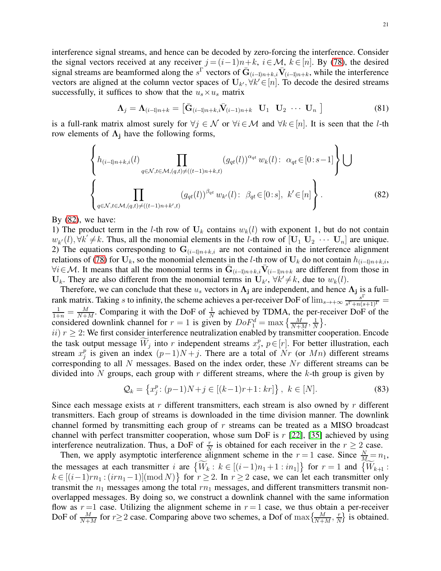interference signal streams, and hence can be decoded by zero-forcing the interference. Consider the signal vectors received at any receiver  $j = (i-1)n+k$ ,  $i \in \mathcal{M}$ ,  $k \in [n]$ . By [\(78\)](#page-19-1), the desired signal streams are beamformed along the s<sup> $\Gamma$ </sup> vectors of  $\bar{G}_{(i-1)n+k,i}\bar{V}_{(i-1)n+k}$ , while the interference vectors are aligned at the column vector spaces of  $U_{k'}$ ,  $\forall k' \in [n]$ . To decode the desired streams successfully, it suffices to show that the  $u_s \times u_s$  matrix

<span id="page-20-0"></span>
$$
\Lambda_j = \Lambda_{(i-1)n+k} = \left[ \bar{\mathbf{G}}_{(i-1)n+k,i} \bar{\mathbf{V}}_{(i-1)n+k} \quad \mathbf{U}_1 \quad \mathbf{U}_2 \quad \cdots \quad \mathbf{U}_n \right]
$$
(81)

is a full-rank matrix almost surely for  $\forall j \in \mathcal{N}$  or  $\forall i \in \mathcal{M}$  and  $\forall k \in [n]$ . It is seen that the *l*-th row elements of  $\Lambda_i$  have the following forms,

$$
\left\{ h_{(i-1)n+k,i}(l) \prod_{q \in \mathcal{N}, t \in \mathcal{M}, (q,t) \neq ((t-1)n+k,t)} (g_{qt}(l))^{\alpha_{qt}} w_k(l) : \alpha_{qt} \in [0:s-1] \right\} \bigcup
$$
\n
$$
\left\{ \prod_{q \in \mathcal{N}, t \in \mathcal{M}, (q,t) \neq ((t-1)n+k',t)} (g_{qt}(l))^{\beta_{qt}} w_{k'}(l) : \beta_{qt} \in [0:s], k' \in [n] \right\}.
$$
\n(82)

By  $(82)$ , we have:

1) The product term in the l-th row of  $U_k$  contains  $w_k(l)$  with exponent 1, but do not contain  $w_{k'}(l), \forall k' \neq k$ . Thus, all the monomial elements in the l-th row of  $[\mathbf{U}_1 \ \mathbf{U}_2 \ \cdots \ \mathbf{U}_n]$  are unique. 2) The equations corresponding to  $G_{(i-1)n+k,i}$  are not contained in the interference alignment relations of [\(78\)](#page-19-1) for  $U_k$ , so the monomial elements in the l-th row of  $U_k$  do not contain  $h_{(i-1)n+k,i}$ ,  $\forall i \in \mathcal{M}$ . It means that all the monomial terms in  $\bar{G}_{(i-1)n+k,i}\bar{V}_{(i-1)n+k}$  are different from those in  $\mathbf{U}_k$ . They are also different from the monomial terms in  $\mathbf{U}_{k'}$ ,  $\forall k' \neq k$ , due to  $w_k(l)$ .

Therefore, we can conclude that these  $u_s$  vectors in  $\Lambda_j$  are independent, and hence  $\Lambda_j$  is a fullrank matrix. Taking s to infinity, the scheme achieves a per-receiver DoF of  $\lim_{s\to+\infty} \frac{s}{s^T+n}$  $\frac{s^1}{s^{\Gamma}+n(s+1)^{\Gamma}}=$  $\frac{1}{1+n} = \frac{M}{N+n}$  $\frac{M}{N+M}$ . Comparing it with the DoF of  $\frac{1}{N}$  achieved by TDMA, the per-receiver DoF of the considered downlink channel for  $r = 1$  is given by  $DoF_1^d = \max\left\{\frac{M}{N+M}, \frac{1}{N}\right\}$  $\frac{1}{N}$ .

ii)  $r \geq 2$ : We first consider interference neutralization enabled by transmitter cooperation. Encode the task output message  $\widetilde{W}_j$  into r independent streams  $x_j^p$  $_j^p$ ,  $p \in [r]$ . For better illustration, each stream  $x_i^p$  $_j^p$  is given an index  $(p-1)N+j$ . There are a total of Nr (or Mn) different streams corresponding to all N messages. Based on the index order, these Nr different streams can be divided into N groups, each group with r different streams, where the  $k$ -th group is given by

$$
\mathcal{Q}_k = \left\{ x_j^p : (p-1)N + j \in [(k-1)r+1:kr] \right\}, \ k \in [N]. \tag{83}
$$

Since each message exists at r different transmitters, each stream is also owned by r different transmitters. Each group of streams is downloaded in the time division manner. The downlink channel formed by transmitting each group of r streams can be treated as a MISO broadcast channel with perfect transmitter cooperation, whose sum DoF is  $r$  [\[22\]](#page-21-16), [\[35\]](#page-22-7) achieved by using interference neutralization. Thus, a DoF of  $\frac{r}{N}$  is obtained for each receiver in the  $r \geq 2$  case.

Then, we apply asymptotic interference alignment scheme in the  $r = 1$  case. Since  $\frac{N}{M} = n_1$ , the messages at each transmitter i are  $\{\widetilde{W}_k : k \in [(i-1)n_1+1 : in_1]\}$  for  $r = 1$  and  $\{\widetilde{W}_{k+1} :$  $k \in [(i-1)rn_1 : (irn_1-1)]$ (mod N) for  $r \ge 2$ . In  $r \ge 2$  case, we can let each transmitter only transmit the  $n_1$  messages among the total  $rn_1$  messages, and different transmitters transmit nonoverlapped messages. By doing so, we construct a downlink channel with the same information flow as  $r = 1$  case. Utilizing the alignment scheme in  $r = 1$  case, we thus obtain a per-receiver DoF of  $\frac{M}{N+M}$  for  $r \ge 2$  case. Comparing above two schemes, a Dof of  $\max\left\{\frac{M}{N+M}, \frac{r}{N}\right\}$  $\frac{r}{N}$  is obtained.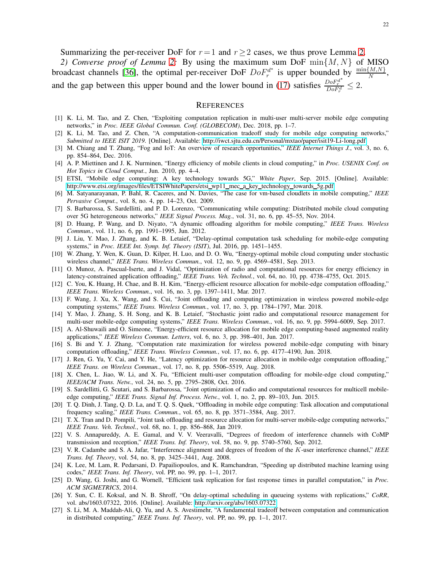Summarizing the per-receiver DoF for  $r=1$  and  $r>2$  cases, we thus prove Lemma [2.](#page-9-6)

*2) Converse proof of Lemma [2:](#page-9-6)* By using the maximum sum DoF min{M, N} of MISO broadcast channels [\[36\]](#page-22-8), the optimal per-receiver DoF  $DoF_r^{d^*}$ <sup>nd\*</sup> is upper bounded by  $\frac{\min\{M,N\}}{N}$ , and the gap between this upper bound and the lower bound in [\(17\)](#page-9-1) satisfies  $\frac{DoF_r^d}{DoF_r^d} \leq 2$ .

#### **REFERENCES**

- <span id="page-21-4"></span>[1] K. Li, M. Tao, and Z. Chen, "Exploiting computation replication in multi-user multi-server mobile edge computing networks," in *Proc. IEEE Global Commun. Conf. (GLOBECOM)*, Dec. 2018, pp. 1–7.
- <span id="page-21-5"></span>[2] K. Li, M. Tao, and Z. Chen, "A computation-communication tradeoff study for mobile edge computing networks," *Submitted to IEEE ISIT 2019*. [Online]. Available:<http://iwct.sjtu.edu.cn/Personal/mxtao/paper/isit19-Li-long.pdf>
- <span id="page-21-0"></span>[3] M. Chiang and T. Zhang, "Fog and IoT: An overview of research opportunities," *IEEE Internet Things J.*, vol. 3, no. 6, pp. 854–864, Dec. 2016.
- <span id="page-21-1"></span>[4] A. P. Miettinen and J. K. Nurminen, "Energy efficiency of mobile clients in cloud computing," in *Proc. USENIX Conf. on Hot Topics in Cloud Comput.*, Jun. 2010, pp. 4–4.
- <span id="page-21-2"></span>[5] ETSI, "Mobile edge computing: A key technology towards 5G," *White Paper*, Sep. 2015. [Online]. Available: [http://www.etsi.org/images/files/ETSIWhitePapers/etsi](http://www.etsi.org/images/files/ETSIWhitePapers/etsi_wp11_mec_a_key_technology_towards_5g.pdf)\_wp11\_mec\_a\_key\_technology\_towards\_5g.pdf
- <span id="page-21-3"></span>[6] M. Satyanarayanan, P. Bahl, R. Caceres, and N. Davies, "The case for vm-based cloudlets in mobile computing," *IEEE Pervasive Comput.*, vol. 8, no. 4, pp. 14–23, Oct. 2009.
- <span id="page-21-6"></span>[7] S. Barbarossa, S. Sardellitti, and P. D. Lorenzo, "Communicating while computing: Distributed mobile cloud computing over 5G heterogeneous networks," *IEEE Signal Process. Mag.*, vol. 31, no. 6, pp. 45–55, Nov. 2014.
- [8] D. Huang, P. Wang, and D. Niyato, "A dynamic offloading algorithm for mobile computing," *IEEE Trans. Wireless Commun.*, vol. 11, no. 6, pp. 1991–1995, Jun. 2012.
- <span id="page-21-7"></span>[9] J. Liu, Y. Mao, J. Zhang, and K. B. Letaief, "Delay-optimal computation task scheduling for mobile-edge computing systems," in *Proc. IEEE Int. Symp. Inf. Theory (ISIT)*, Jul. 2016, pp. 1451–1455.
- <span id="page-21-8"></span>[10] W. Zhang, Y. Wen, K. Guan, D. Kilper, H. Luo, and D. O. Wu, "Energy-optimal mobile cloud computing under stochastic wireless channel," *IEEE Trans. Wireless Commun.*, vol. 12, no. 9, pp. 4569–4581, Sep. 2013.
- <span id="page-21-9"></span>[11] O. Munoz, A. Pascual-Iserte, and J. Vidal, "Optimization of radio and computational resources for energy efficiency in latency-constrained application offloading," *IEEE Trans. Veh. Technol.*, vol. 64, no. 10, pp. 4738–4755, Oct. 2015.
- <span id="page-21-10"></span>[12] C. You, K. Huang, H. Chae, and B. H. Kim, "Energy-efficient resource allocation for mobile-edge computation offloading," *IEEE Trans. Wireless Commun.*, vol. 16, no. 3, pp. 1397–1411, Mar. 2017.
- [13] F. Wang, J. Xu, X. Wang, and S. Cui, "Joint offloading and computing optimization in wireless powered mobile-edge computing systems," *IEEE Trans. Wireless Commun.*, vol. 17, no. 3, pp. 1784–1797, Mar. 2018.
- [14] Y. Mao, J. Zhang, S. H. Song, and K. B. Letaief, "Stochastic joint radio and computational resource management for multi-user mobile-edge computing systems," *IEEE Trans. Wireless Commun.*, vol. 16, no. 9, pp. 5994–6009, Sep. 2017.
- <span id="page-21-14"></span>[15] A. Al-Shuwaili and O. Simeone, "Energy-efficient resource allocation for mobile edge computing-based augmented reality applications," *IEEE Wireless Commun. Letters*, vol. 6, no. 3, pp. 398–401, Jun. 2017.
- <span id="page-21-15"></span>[16] S. Bi and Y. J. Zhang, "Computation rate maximization for wireless powered mobile-edge computing with binary computation offloading," *IEEE Trans. Wireless Commun.*, vol. 17, no. 6, pp. 4177–4190, Jun. 2018.
- [17] J. Ren, G. Yu, Y. Cai, and Y. He, "Latency optimization for resource allocation in mobile-edge computation offloading," *IEEE Trans. on Wireless Commun.*, vol. 17, no. 8, pp. 5506–5519, Aug. 2018.
- [18] X. Chen, L. Jiao, W. Li, and X. Fu, "Efficient multi-user computation offloading for mobile-edge cloud computing," *IEEE/ACM Trans. Netw.*, vol. 24, no. 5, pp. 2795–2808, Oct. 2016.
- <span id="page-21-11"></span>[19] S. Sardellitti, G. Scutari, and S. Barbarossa, "Joint optimization of radio and computational resources for multicell mobileedge computing," *IEEE Trans. Signal Inf. Process. Netw.*, vol. 1, no. 2, pp. 89–103, Jun. 2015.
- <span id="page-21-12"></span>[20] T. Q. Dinh, J. Tang, Q. D. La, and T. Q. S. Quek, "Offloading in mobile edge computing: Task allocation and computational frequency scaling," *IEEE Trans. Commun.*, vol. 65, no. 8, pp. 3571–3584, Aug. 2017.
- <span id="page-21-13"></span>[21] T. X. Tran and D. Pompili, "Joint task offloading and resource allocation for multi-server mobile-edge computing networks," *IEEE Trans. Veh. Technol.*, vol. 68, no. 1, pp. 856–868, Jan 2019.
- <span id="page-21-16"></span>[22] V. S. Annapureddy, A. E. Gamal, and V. V. Veeravalli, "Degrees of freedom of interference channels with CoMP transmission and reception," *IEEE Trans. Inf. Theory*, vol. 58, no. 9, pp. 5740–5760, Sep. 2012.
- <span id="page-21-17"></span>[23] V. R. Cadambe and S. A. Jafar, "Interference alignment and degrees of freedom of the K-user interference channel," *IEEE Trans. Inf. Theory*, vol. 54, no. 8, pp. 3425–3441, Aug. 2008.
- <span id="page-21-18"></span>[24] K. Lee, M. Lam, R. Pedarsani, D. Papailiopoulos, and K. Ramchandran, "Speeding up distributed machine learning using codes," *IEEE Trans. Inf. Theory*, vol. PP, no. 99, pp. 1–1, 2017.
- [25] D. Wang, G. Joshi, and G. Wornell, "Efficient task replication for fast response times in parallel computation," in *Proc. ACM SIGMETRICS*, 2014.
- <span id="page-21-19"></span>[26] Y. Sun, C. E. Koksal, and N. B. Shroff, "On delay-optimal scheduling in queueing systems with replications," *CoRR*, vol. abs/1603.07322, 2016. [Online]. Available:<http://arxiv.org/abs/1603.07322>
- <span id="page-21-20"></span>[27] S. Li, M. A. Maddah-Ali, Q. Yu, and A. S. Avestimehr, "A fundamental tradeoff between computation and communication in distributed computing," *IEEE Trans. Inf. Theory*, vol. PP, no. 99, pp. 1–1, 2017.